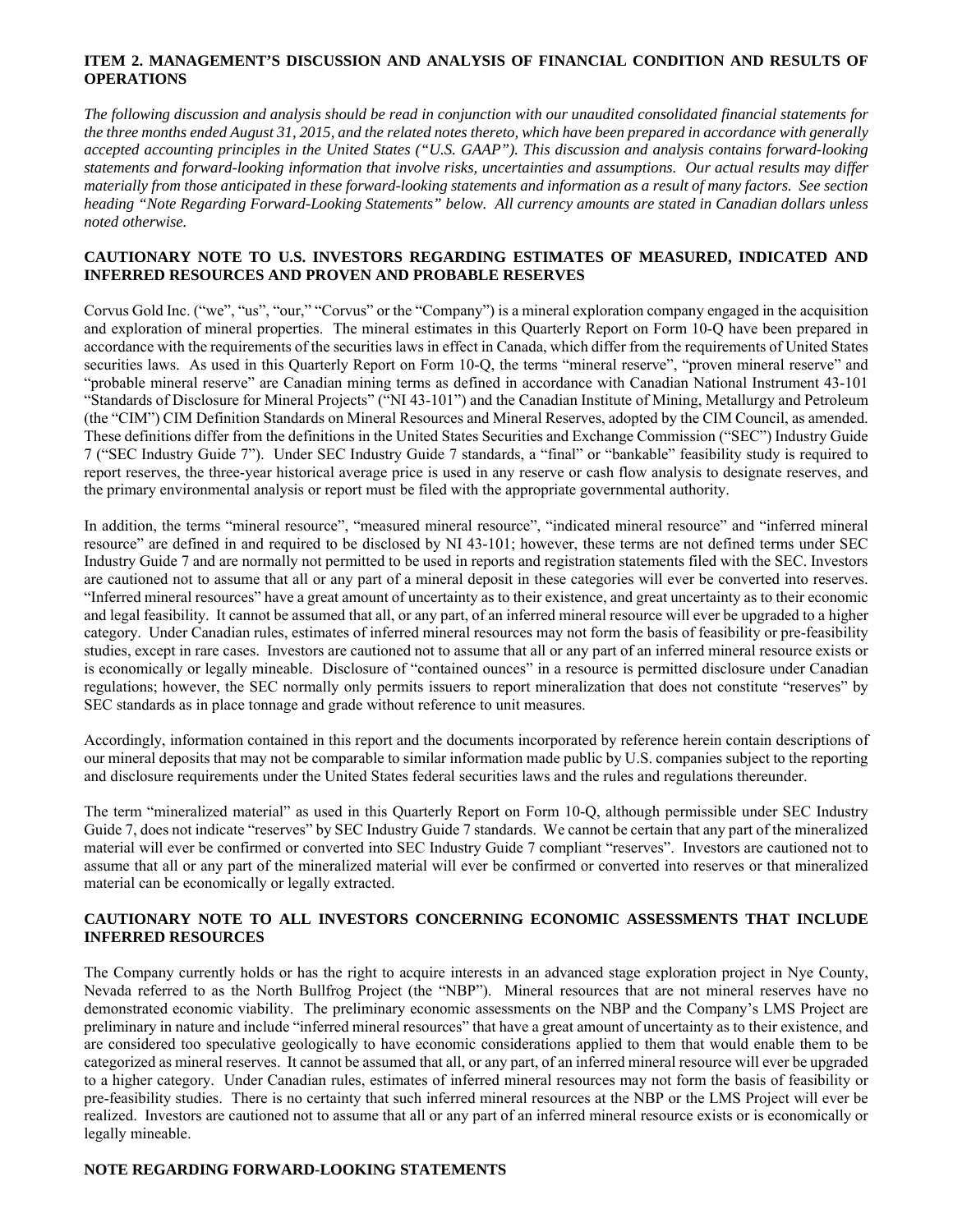#### **ITEM 2. MANAGEMENT'S DISCUSSION AND ANALYSIS OF FINANCIAL CONDITION AND RESULTS OF OPERATIONS**

*The following discussion and analysis should be read in conjunction with our unaudited consolidated financial statements for the three months ended August 31, 2015, and the related notes thereto, which have been prepared in accordance with generally accepted accounting principles in the United States ("U.S. GAAP"). This discussion and analysis contains forward-looking statements and forward-looking information that involve risks, uncertainties and assumptions. Our actual results may differ materially from those anticipated in these forward-looking statements and information as a result of many factors. See section heading "Note Regarding Forward-Looking Statements" below. All currency amounts are stated in Canadian dollars unless noted otherwise.* 

#### **CAUTIONARY NOTE TO U.S. INVESTORS REGARDING ESTIMATES OF MEASURED, INDICATED AND INFERRED RESOURCES AND PROVEN AND PROBABLE RESERVES**

Corvus Gold Inc. ("we", "us", "our," "Corvus" or the "Company") is a mineral exploration company engaged in the acquisition and exploration of mineral properties. The mineral estimates in this Quarterly Report on Form 10-Q have been prepared in accordance with the requirements of the securities laws in effect in Canada, which differ from the requirements of United States securities laws. As used in this Quarterly Report on Form 10-Q, the terms "mineral reserve", "proven mineral reserve" and "probable mineral reserve" are Canadian mining terms as defined in accordance with Canadian National Instrument 43-101 "Standards of Disclosure for Mineral Projects" ("NI 43-101") and the Canadian Institute of Mining, Metallurgy and Petroleum (the "CIM") CIM Definition Standards on Mineral Resources and Mineral Reserves, adopted by the CIM Council, as amended. These definitions differ from the definitions in the United States Securities and Exchange Commission ("SEC") Industry Guide 7 ("SEC Industry Guide 7"). Under SEC Industry Guide 7 standards, a "final" or "bankable" feasibility study is required to report reserves, the three-year historical average price is used in any reserve or cash flow analysis to designate reserves, and the primary environmental analysis or report must be filed with the appropriate governmental authority.

In addition, the terms "mineral resource", "measured mineral resource", "indicated mineral resource" and "inferred mineral resource" are defined in and required to be disclosed by NI 43-101; however, these terms are not defined terms under SEC Industry Guide 7 and are normally not permitted to be used in reports and registration statements filed with the SEC. Investors are cautioned not to assume that all or any part of a mineral deposit in these categories will ever be converted into reserves. "Inferred mineral resources" have a great amount of uncertainty as to their existence, and great uncertainty as to their economic and legal feasibility. It cannot be assumed that all, or any part, of an inferred mineral resource will ever be upgraded to a higher category. Under Canadian rules, estimates of inferred mineral resources may not form the basis of feasibility or pre-feasibility studies, except in rare cases. Investors are cautioned not to assume that all or any part of an inferred mineral resource exists or is economically or legally mineable. Disclosure of "contained ounces" in a resource is permitted disclosure under Canadian regulations; however, the SEC normally only permits issuers to report mineralization that does not constitute "reserves" by SEC standards as in place tonnage and grade without reference to unit measures.

Accordingly, information contained in this report and the documents incorporated by reference herein contain descriptions of our mineral deposits that may not be comparable to similar information made public by U.S. companies subject to the reporting and disclosure requirements under the United States federal securities laws and the rules and regulations thereunder.

The term "mineralized material" as used in this Quarterly Report on Form 10-Q, although permissible under SEC Industry Guide 7, does not indicate "reserves" by SEC Industry Guide 7 standards. We cannot be certain that any part of the mineralized material will ever be confirmed or converted into SEC Industry Guide 7 compliant "reserves". Investors are cautioned not to assume that all or any part of the mineralized material will ever be confirmed or converted into reserves or that mineralized material can be economically or legally extracted.

## **CAUTIONARY NOTE TO ALL INVESTORS CONCERNING ECONOMIC ASSESSMENTS THAT INCLUDE INFERRED RESOURCES**

The Company currently holds or has the right to acquire interests in an advanced stage exploration project in Nye County, Nevada referred to as the North Bullfrog Project (the "NBP"). Mineral resources that are not mineral reserves have no demonstrated economic viability. The preliminary economic assessments on the NBP and the Company's LMS Project are preliminary in nature and include "inferred mineral resources" that have a great amount of uncertainty as to their existence, and are considered too speculative geologically to have economic considerations applied to them that would enable them to be categorized as mineral reserves. It cannot be assumed that all, or any part, of an inferred mineral resource will ever be upgraded to a higher category. Under Canadian rules, estimates of inferred mineral resources may not form the basis of feasibility or pre-feasibility studies. There is no certainty that such inferred mineral resources at the NBP or the LMS Project will ever be realized. Investors are cautioned not to assume that all or any part of an inferred mineral resource exists or is economically or legally mineable.

## **NOTE REGARDING FORWARD-LOOKING STATEMENTS**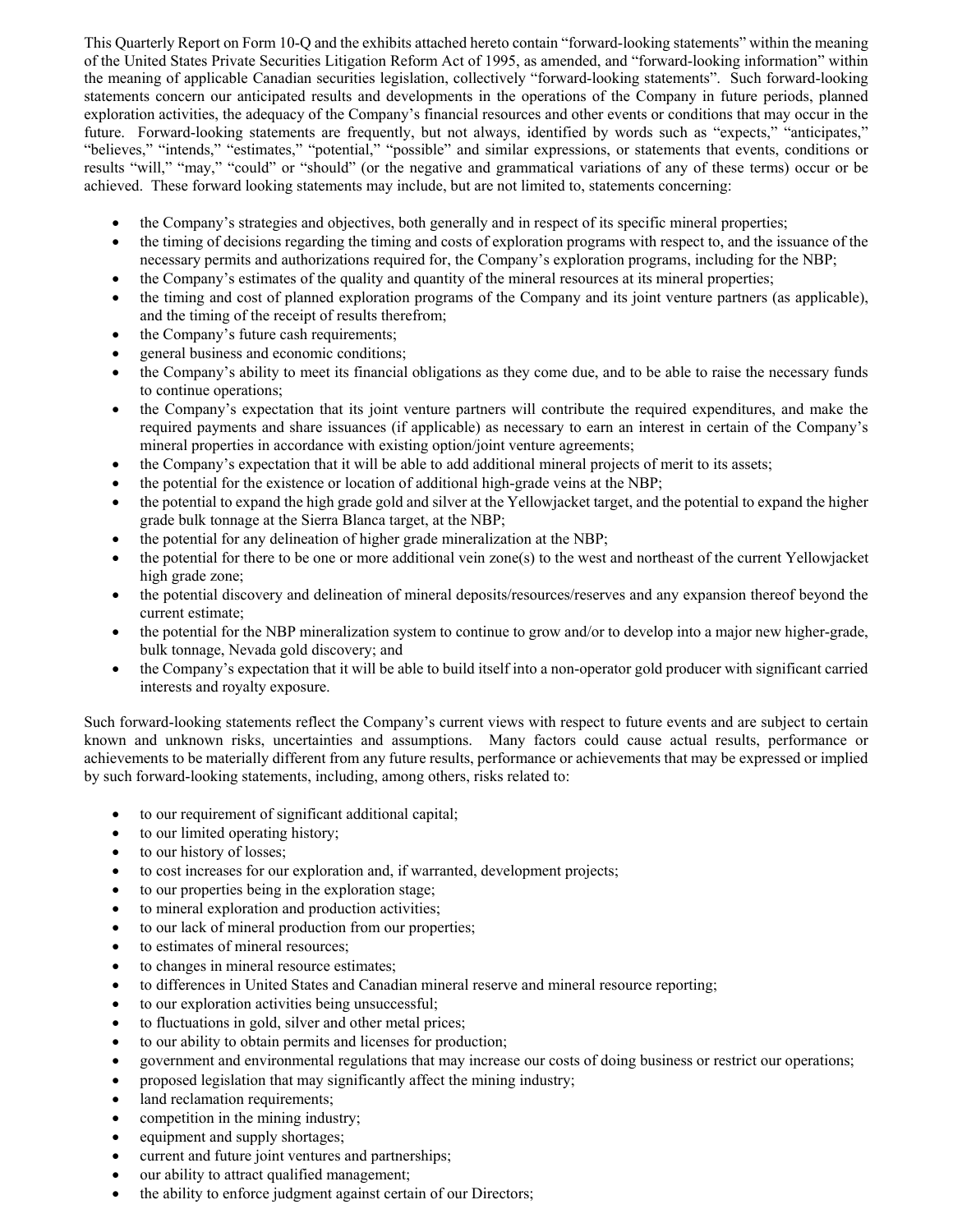This Quarterly Report on Form 10-Q and the exhibits attached hereto contain "forward-looking statements" within the meaning of the United States Private Securities Litigation Reform Act of 1995, as amended, and "forward-looking information" within the meaning of applicable Canadian securities legislation, collectively "forward-looking statements". Such forward-looking statements concern our anticipated results and developments in the operations of the Company in future periods, planned exploration activities, the adequacy of the Company's financial resources and other events or conditions that may occur in the future. Forward-looking statements are frequently, but not always, identified by words such as "expects," "anticipates," "believes," "intends," "estimates," "potential," "possible" and similar expressions, or statements that events, conditions or results "will," "may," "could" or "should" (or the negative and grammatical variations of any of these terms) occur or be achieved. These forward looking statements may include, but are not limited to, statements concerning:

- the Company's strategies and objectives, both generally and in respect of its specific mineral properties;
- the timing of decisions regarding the timing and costs of exploration programs with respect to, and the issuance of the necessary permits and authorizations required for, the Company's exploration programs, including for the NBP;
- the Company's estimates of the quality and quantity of the mineral resources at its mineral properties;
- the timing and cost of planned exploration programs of the Company and its joint venture partners (as applicable), and the timing of the receipt of results therefrom;
- the Company's future cash requirements;
- general business and economic conditions;
- the Company's ability to meet its financial obligations as they come due, and to be able to raise the necessary funds to continue operations;
- the Company's expectation that its joint venture partners will contribute the required expenditures, and make the required payments and share issuances (if applicable) as necessary to earn an interest in certain of the Company's mineral properties in accordance with existing option/joint venture agreements;
- the Company's expectation that it will be able to add additional mineral projects of merit to its assets;
- the potential for the existence or location of additional high-grade veins at the NBP;
- the potential to expand the high grade gold and silver at the Yellowjacket target, and the potential to expand the higher grade bulk tonnage at the Sierra Blanca target, at the NBP;
- the potential for any delineation of higher grade mineralization at the NBP;
- the potential for there to be one or more additional vein zone(s) to the west and northeast of the current Yellowjacket high grade zone;
- the potential discovery and delineation of mineral deposits/resources/reserves and any expansion thereof beyond the current estimate;
- the potential for the NBP mineralization system to continue to grow and/or to develop into a major new higher-grade, bulk tonnage, Nevada gold discovery; and
- the Company's expectation that it will be able to build itself into a non-operator gold producer with significant carried interests and royalty exposure.

Such forward-looking statements reflect the Company's current views with respect to future events and are subject to certain known and unknown risks, uncertainties and assumptions. Many factors could cause actual results, performance or achievements to be materially different from any future results, performance or achievements that may be expressed or implied by such forward-looking statements, including, among others, risks related to:

- to our requirement of significant additional capital;
- to our limited operating history;
- to our history of losses;
- to cost increases for our exploration and, if warranted, development projects;
- to our properties being in the exploration stage;
- to mineral exploration and production activities;
- to our lack of mineral production from our properties;
- to estimates of mineral resources;
- to changes in mineral resource estimates;
- to differences in United States and Canadian mineral reserve and mineral resource reporting;
- to our exploration activities being unsuccessful;
- to fluctuations in gold, silver and other metal prices;
- to our ability to obtain permits and licenses for production;
- government and environmental regulations that may increase our costs of doing business or restrict our operations;
- proposed legislation that may significantly affect the mining industry;
- land reclamation requirements;
- competition in the mining industry;
- equipment and supply shortages;
- current and future joint ventures and partnerships;
- our ability to attract qualified management;
- the ability to enforce judgment against certain of our Directors;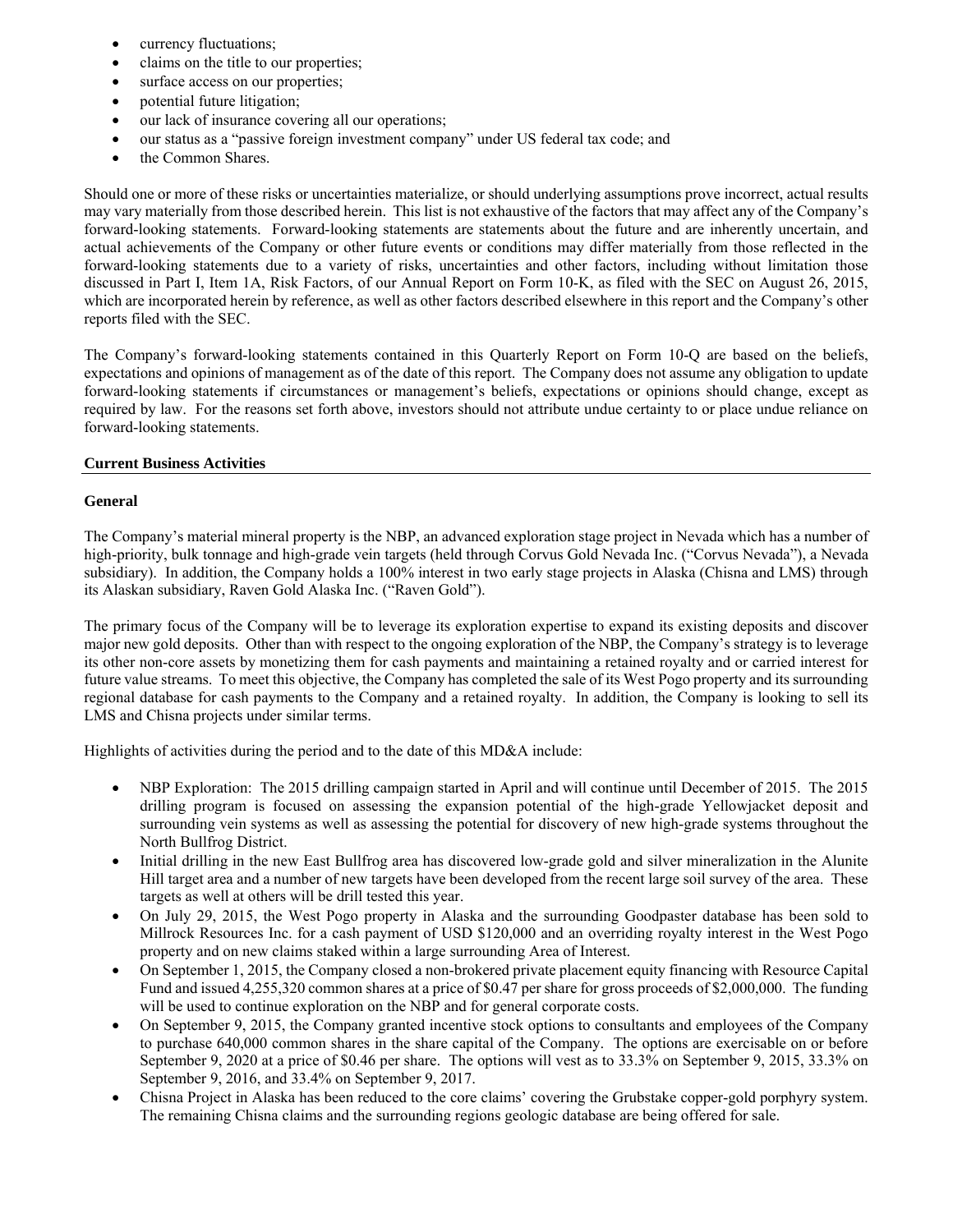- currency fluctuations;
- claims on the title to our properties;
- surface access on our properties;
- potential future litigation;
- our lack of insurance covering all our operations;
- our status as a "passive foreign investment company" under US federal tax code; and
- the Common Shares.

Should one or more of these risks or uncertainties materialize, or should underlying assumptions prove incorrect, actual results may vary materially from those described herein. This list is not exhaustive of the factors that may affect any of the Company's forward-looking statements. Forward-looking statements are statements about the future and are inherently uncertain, and actual achievements of the Company or other future events or conditions may differ materially from those reflected in the forward-looking statements due to a variety of risks, uncertainties and other factors, including without limitation those discussed in Part I, Item 1A, Risk Factors, of our Annual Report on Form 10-K, as filed with the SEC on August 26, 2015, which are incorporated herein by reference, as well as other factors described elsewhere in this report and the Company's other reports filed with the SEC.

The Company's forward-looking statements contained in this Quarterly Report on Form 10-Q are based on the beliefs, expectations and opinions of management as of the date of this report. The Company does not assume any obligation to update forward-looking statements if circumstances or management's beliefs, expectations or opinions should change, except as required by law. For the reasons set forth above, investors should not attribute undue certainty to or place undue reliance on forward-looking statements.

## **Current Business Activities**

# **General**

The Company's material mineral property is the NBP, an advanced exploration stage project in Nevada which has a number of high-priority, bulk tonnage and high-grade vein targets (held through Corvus Gold Nevada Inc. ("Corvus Nevada"), a Nevada subsidiary). In addition, the Company holds a 100% interest in two early stage projects in Alaska (Chisna and LMS) through its Alaskan subsidiary, Raven Gold Alaska Inc. ("Raven Gold").

The primary focus of the Company will be to leverage its exploration expertise to expand its existing deposits and discover major new gold deposits. Other than with respect to the ongoing exploration of the NBP, the Company's strategy is to leverage its other non-core assets by monetizing them for cash payments and maintaining a retained royalty and or carried interest for future value streams. To meet this objective, the Company has completed the sale of its West Pogo property and its surrounding regional database for cash payments to the Company and a retained royalty. In addition, the Company is looking to sell its LMS and Chisna projects under similar terms.

Highlights of activities during the period and to the date of this MD&A include:

- NBP Exploration: The 2015 drilling campaign started in April and will continue until December of 2015. The 2015 drilling program is focused on assessing the expansion potential of the high-grade Yellowjacket deposit and surrounding vein systems as well as assessing the potential for discovery of new high-grade systems throughout the North Bullfrog District.
- Initial drilling in the new East Bullfrog area has discovered low-grade gold and silver mineralization in the Alunite Hill target area and a number of new targets have been developed from the recent large soil survey of the area. These targets as well at others will be drill tested this year.
- On July 29, 2015, the West Pogo property in Alaska and the surrounding Goodpaster database has been sold to Millrock Resources Inc. for a cash payment of USD \$120,000 and an overriding royalty interest in the West Pogo property and on new claims staked within a large surrounding Area of Interest.
- On September 1, 2015, the Company closed a non-brokered private placement equity financing with Resource Capital Fund and issued 4,255,320 common shares at a price of \$0.47 per share for gross proceeds of \$2,000,000. The funding will be used to continue exploration on the NBP and for general corporate costs.
- On September 9, 2015, the Company granted incentive stock options to consultants and employees of the Company to purchase 640,000 common shares in the share capital of the Company. The options are exercisable on or before September 9, 2020 at a price of \$0.46 per share. The options will vest as to 33.3% on September 9, 2015, 33.3% on September 9, 2016, and 33.4% on September 9, 2017.
- Chisna Project in Alaska has been reduced to the core claims' covering the Grubstake copper-gold porphyry system. The remaining Chisna claims and the surrounding regions geologic database are being offered for sale.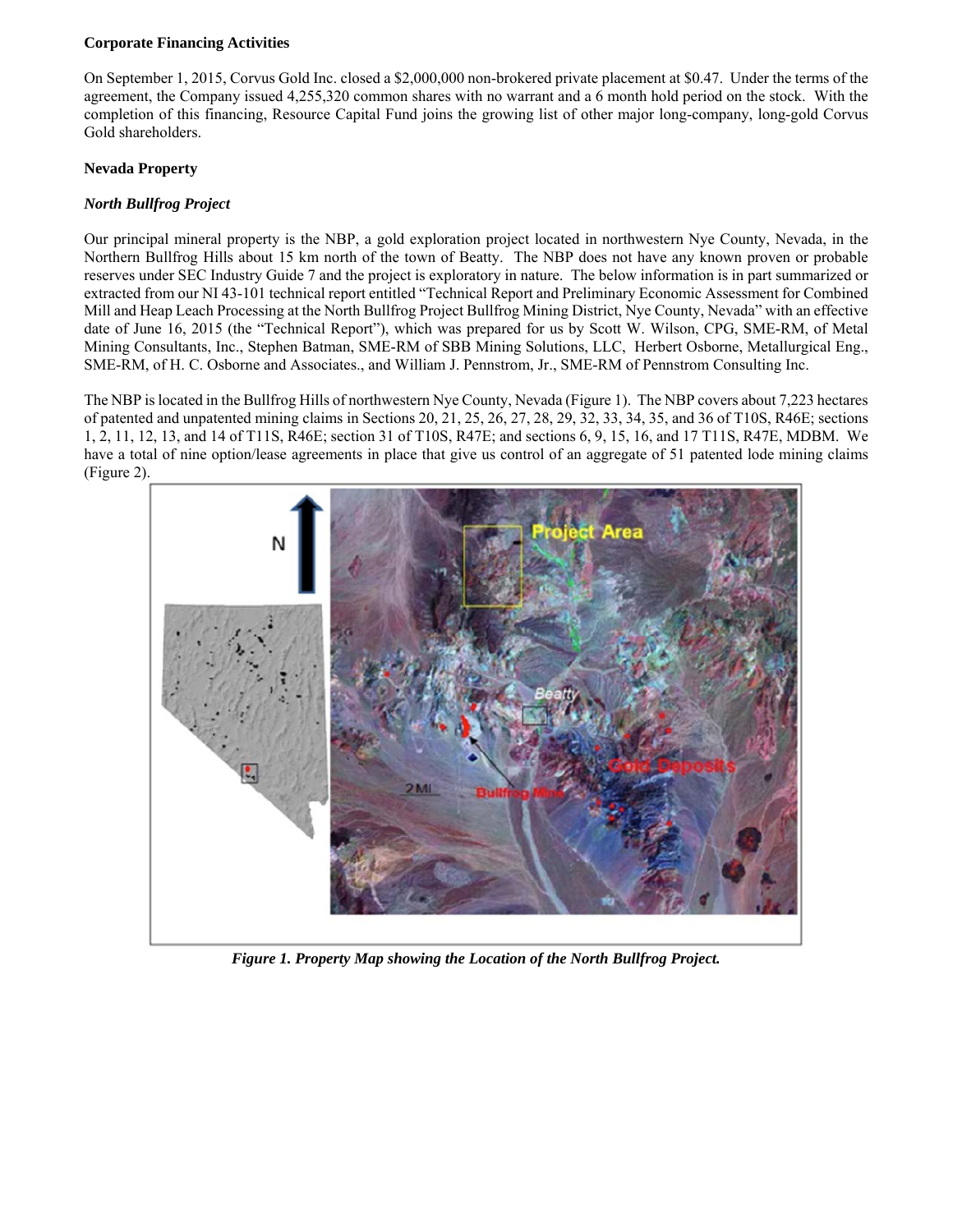## **Corporate Financing Activities**

On September 1, 2015, Corvus Gold Inc. closed a \$2,000,000 non-brokered private placement at \$0.47. Under the terms of the agreement, the Company issued 4,255,320 common shares with no warrant and a 6 month hold period on the stock. With the completion of this financing, Resource Capital Fund joins the growing list of other major long-company, long-gold Corvus Gold shareholders.

# **Nevada Property**

# *North Bullfrog Project*

Our principal mineral property is the NBP, a gold exploration project located in northwestern Nye County, Nevada, in the Northern Bullfrog Hills about 15 km north of the town of Beatty. The NBP does not have any known proven or probable reserves under SEC Industry Guide 7 and the project is exploratory in nature. The below information is in part summarized or extracted from our NI 43-101 technical report entitled "Technical Report and Preliminary Economic Assessment for Combined Mill and Heap Leach Processing at the North Bullfrog Project Bullfrog Mining District, Nye County, Nevada" with an effective date of June 16, 2015 (the "Technical Report"), which was prepared for us by Scott W. Wilson, CPG, SME-RM, of Metal Mining Consultants, Inc., Stephen Batman, SME-RM of SBB Mining Solutions, LLC, Herbert Osborne, Metallurgical Eng., SME-RM, of H. C. Osborne and Associates., and William J. Pennstrom, Jr., SME-RM of Pennstrom Consulting Inc.

The NBP is located in the Bullfrog Hills of northwestern Nye County, Nevada (Figure 1). The NBP covers about 7,223 hectares of patented and unpatented mining claims in Sections 20, 21, 25, 26, 27, 28, 29, 32, 33, 34, 35, and 36 of T10S, R46E; sections 1, 2, 11, 12, 13, and 14 of T11S, R46E; section 31 of T10S, R47E; and sections 6, 9, 15, 16, and 17 T11S, R47E, MDBM. We have a total of nine option/lease agreements in place that give us control of an aggregate of 51 patented lode mining claims (Figure 2).



*Figure 1. Property Map showing the Location of the North Bullfrog Project.*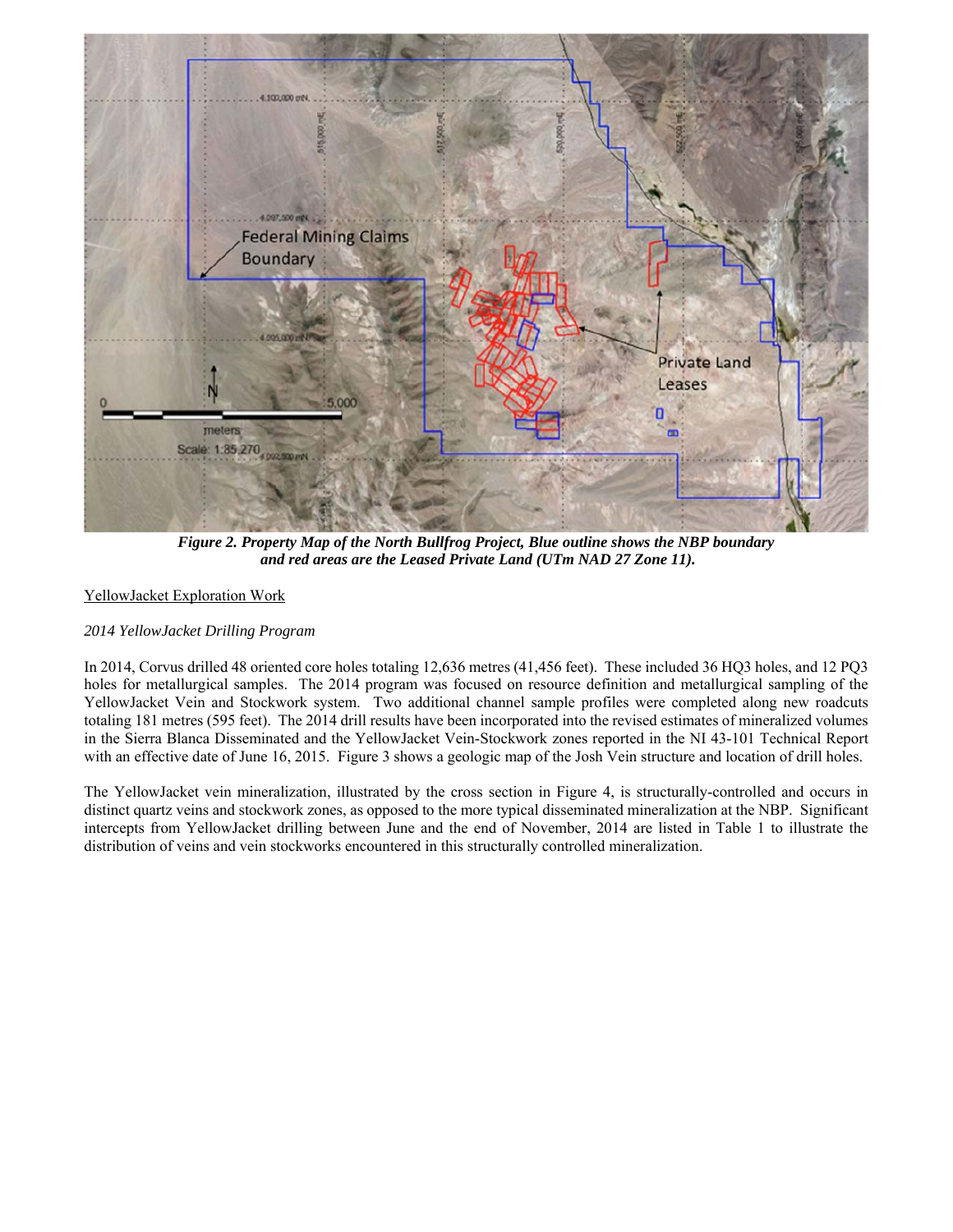

*Figure 2. Property Map of the North Bullfrog Project, Blue outline shows the NBP boundary and red areas are the Leased Private Land (UTm NAD 27 Zone 11).* 

# YellowJacket Exploration Work

## *2014 YellowJacket Drilling Program*

In 2014, Corvus drilled 48 oriented core holes totaling 12,636 metres (41,456 feet). These included 36 HQ3 holes, and 12 PQ3 holes for metallurgical samples. The 2014 program was focused on resource definition and metallurgical sampling of the YellowJacket Vein and Stockwork system. Two additional channel sample profiles were completed along new roadcuts totaling 181 metres (595 feet). The 2014 drill results have been incorporated into the revised estimates of mineralized volumes in the Sierra Blanca Disseminated and the YellowJacket Vein-Stockwork zones reported in the NI 43-101 Technical Report with an effective date of June 16, 2015. Figure 3 shows a geologic map of the Josh Vein structure and location of drill holes.

The YellowJacket vein mineralization, illustrated by the cross section in Figure 4, is structurally-controlled and occurs in distinct quartz veins and stockwork zones, as opposed to the more typical disseminated mineralization at the NBP. Significant intercepts from YellowJacket drilling between June and the end of November, 2014 are listed in Table 1 to illustrate the distribution of veins and vein stockworks encountered in this structurally controlled mineralization.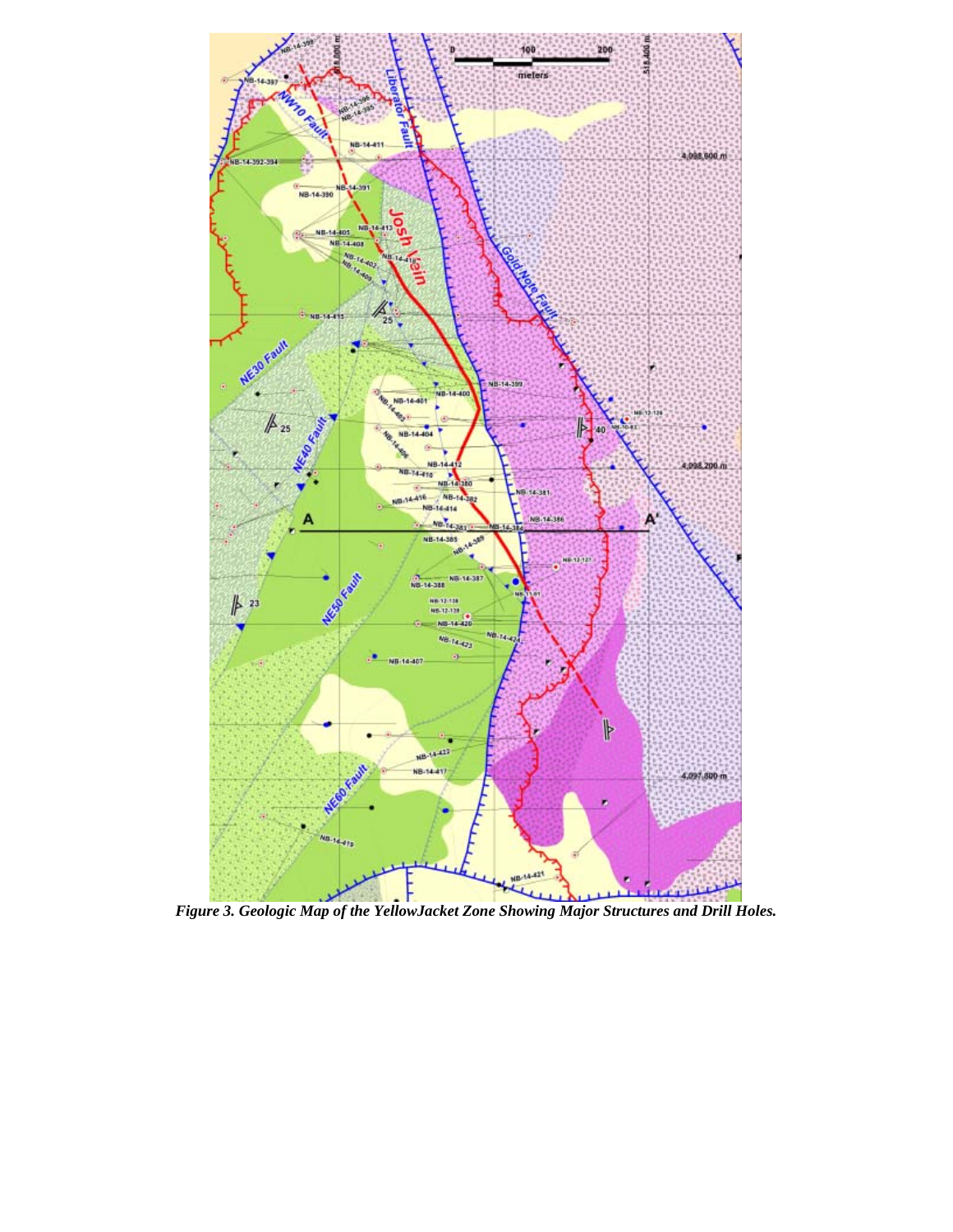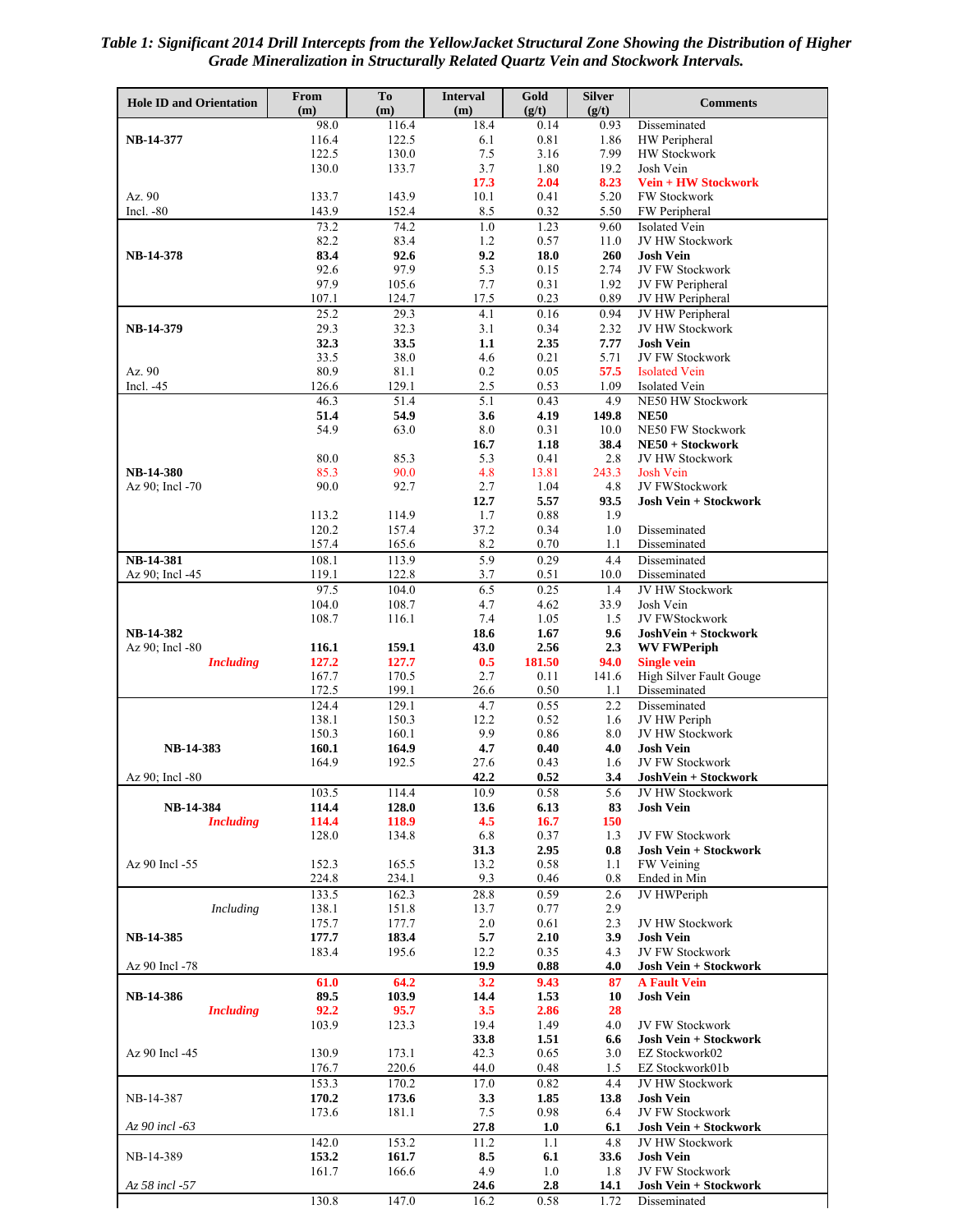*Table 1: Significant 2014 Drill Intercepts from the YellowJacket Structural Zone Showing the Distribution of Higher Grade Mineralization in Structurally Related Quartz Vein and Stockwork Intervals.* 

| <b>Hole ID and Orientation</b>      | From<br>(m)    | To<br>(m)      | <b>Interval</b><br>(m) | Gold<br>(g/t)  | <b>Silver</b><br>(g/t) | <b>Comments</b>                                     |
|-------------------------------------|----------------|----------------|------------------------|----------------|------------------------|-----------------------------------------------------|
|                                     | 98.0           | 116.4          | 18.4                   | 0.14           | 0.93                   | Disseminated                                        |
| NB-14-377                           | 116.4          | 122.5          | 6.1                    | 0.81           | 1.86                   | HW Peripheral                                       |
|                                     | 122.5          | 130.0          | 7.5                    | 3.16           | 7.99                   | <b>HW Stockwork</b>                                 |
|                                     | 130.0          | 133.7          | 3.7                    | 1.80           | 19.2                   | Josh Vein                                           |
| Az. 90                              | 133.7          | 143.9          | 17.3<br>10.1           | 2.04<br>0.41   | 8.23<br>5.20           | <b>Vein + HW Stockwork</b><br><b>FW Stockwork</b>   |
| Incl. $-80$                         | 143.9          | 152.4          | 8.5                    | 0.32           | 5.50                   | FW Peripheral                                       |
|                                     | 73.2           | 74.2           | 1.0                    | 1.23           | 9.60                   | Isolated Vein                                       |
|                                     | 82.2           | 83.4           | 1.2                    | 0.57           | 11.0                   | <b>JV HW Stockwork</b>                              |
| NB-14-378                           | 83.4           | 92.6           | 9.2                    | 18.0           | 260                    | <b>Josh Vein</b>                                    |
|                                     | 92.6           | 97.9           | 5.3                    | 0.15           | 2.74                   | JV FW Stockwork                                     |
|                                     | 97.9           | 105.6          | 7.7                    | 0.31           | 1.92                   | JV FW Peripheral                                    |
|                                     | 107.1<br>25.2  | 124.7<br>29.3  | 17.5<br>4.1            | 0.23<br>0.16   | 0.89<br>0.94           | JV HW Peripheral<br>JV HW Peripheral                |
| NB-14-379                           | 29.3           | 32.3           | 3.1                    | 0.34           | 2.32                   | <b>JV HW Stockwork</b>                              |
|                                     | 32.3           | 33.5           | 1.1                    | 2.35           | 7.77                   | <b>Josh Vein</b>                                    |
|                                     | 33.5           | 38.0           | 4.6                    | 0.21           | 5.71                   | JV FW Stockwork                                     |
| Az. 90                              | 80.9           | 81.1           | 0.2                    | 0.05           | 57.5                   | <b>Isolated Vein</b>                                |
| Incl. $-45$                         | 126.6          | 129.1          | 2.5                    | 0.53           | 1.09                   | <b>Isolated Vein</b>                                |
|                                     | 46.3           | 51.4<br>54.9   | 5.1                    | 0.43           | 4.9                    | NE50 HW Stockwork                                   |
|                                     | 51.4<br>54.9   | 63.0           | 3.6<br>8.0             | 4.19<br>0.31   | 149.8<br>10.0          | <b>NE50</b><br><b>NE50 FW Stockwork</b>             |
|                                     |                |                | 16.7                   | 1.18           | 38.4                   | NE50 + Stockwork                                    |
|                                     | 80.0           | 85.3           | 5.3                    | 0.41           | 2.8                    | <b>JV HW Stockwork</b>                              |
| <b>NB-14-380</b>                    | 85.3           | 90.0           | 4.8                    | 13.81          | 243.3                  | <b>Josh Vein</b>                                    |
| Az 90; Incl -70                     | 90.0           | 92.7           | 2.7                    | 1.04           | 4.8                    | JV FWStockwork                                      |
|                                     |                |                | 12.7                   | 5.57           | 93.5                   | <b>Josh Vein + Stockwork</b>                        |
|                                     | 113.2<br>120.2 | 114.9<br>157.4 | 1.7<br>37.2            | 0.88<br>0.34   | 1.9<br>1.0             | Disseminated                                        |
|                                     | 157.4          | 165.6          | 8.2                    | 0.70           | 1.1                    | Disseminated                                        |
| <b>NB-14-381</b>                    | 108.1          | 113.9          | 5.9                    | 0.29           | 4.4                    | Disseminated                                        |
| Az 90; Incl -45                     | 119.1          | 122.8          | 3.7                    | 0.51           | 10.0                   | Disseminated                                        |
|                                     | 97.5           | 104.0          | 6.5                    | 0.25           | 1.4                    | JV HW Stockwork                                     |
|                                     | 104.0          | 108.7          | 4.7                    | 4.62           | 33.9                   | Josh Vein                                           |
|                                     | 108.7          | 116.1          | 7.4                    | 1.05           | 1.5                    | JV FWStockwork                                      |
| NB-14-382                           |                |                | 18.6                   | 1.67           | 9.6<br>2.3             | JoshVein + Stockwork                                |
| Az 90; Incl -80<br><b>Including</b> | 116.1<br>127.2 | 159.1<br>127.7 | 43.0<br>0.5            | 2.56<br>181.50 | 94.0                   | <b>WV FWPeriph</b><br><b>Single vein</b>            |
|                                     | 167.7          | 170.5          | 2.7                    | 0.11           | 141.6                  | High Silver Fault Gouge                             |
|                                     | 172.5          | 199.1          | 26.6                   | 0.50           | 1.1                    | Disseminated                                        |
|                                     | 124.4          | 129.1          | 4.7                    | 0.55           | 2.2                    | Disseminated                                        |
|                                     | 138.1          | 150.3          | 12.2                   | 0.52           | 1.6                    | JV HW Periph                                        |
|                                     | 150.3          | 160.1          | 9.9                    | 0.86           | 8.0                    | JV HW Stockwork                                     |
| <b>NB-14-383</b>                    | 160.1<br>164.9 | 164.9<br>192.5 | 4.7<br>27.6            | 0.40<br>0.43   | 4.0<br>1.6             | <b>Josh Vein</b><br><b>JV FW Stockwork</b>          |
| Az 90: Incl -80                     |                |                | 42.2                   | 0.52           | 3.4                    | JoshVein + Stockwork                                |
|                                     | 103.5          | 114.4          | 10.9                   | 0.58           | 5.6                    | JV HW Stockwork                                     |
| NB-14-384                           | 114.4          | 128.0          | 13.6                   | 6.13           | 83                     | <b>Josh Vein</b>                                    |
| <b>Including</b>                    | 114.4          | 118.9          | 4.5                    | 16.7           | 150                    |                                                     |
|                                     | 128.0          | 134.8          | 6.8                    | 0.37           | 1.3                    | JV FW Stockwork                                     |
| Az 90 Incl -55                      | 152.3          | 165.5          | 31.3<br>13.2           | 2.95<br>0.58   | 0.8<br>1.1             | <b>Josh Vein + Stockwork</b><br>FW Veining          |
|                                     | 224.8          | 234.1          | 9.3                    | 0.46           | 0.8                    | Ended in Min                                        |
|                                     | 133.5          | 162.3          | 28.8                   | 0.59           | 2.6                    | JV HWPeriph                                         |
| Including                           | 138.1          | 151.8          | 13.7                   | 0.77           | 2.9                    |                                                     |
|                                     | 175.7          | 177.7          | 2.0                    | 0.61           | 2.3                    | <b>JV HW Stockwork</b>                              |
| NB-14-385                           | 177.7          | 183.4          | 5.7                    | 2.10           | 3.9                    | <b>Josh Vein</b>                                    |
|                                     | 183.4          | 195.6          | 12.2                   | 0.35           | 4.3                    | <b>JV FW Stockwork</b>                              |
| Az 90 Incl -78                      | 61.0           | 64.2           | 19.9                   | 0.88<br>9.43   | 4.0                    | <b>Josh Vein + Stockwork</b><br><b>A Fault Vein</b> |
| NB-14-386                           | 89.5           | 103.9          | 3.2<br>14.4            | 1.53           | 87<br>10               | <b>Josh Vein</b>                                    |
| <b>Including</b>                    | 92.2           | 95.7           | 3.5                    | 2.86           | 28                     |                                                     |
|                                     | 103.9          | 123.3          | 19.4                   | 1.49           | 4.0                    | JV FW Stockwork                                     |
|                                     |                |                | 33.8                   | 1.51           | 6.6                    | <b>Josh Vein + Stockwork</b>                        |
| Az 90 Incl -45                      | 130.9          | 173.1          | 42.3                   | 0.65           | 3.0                    | EZ Stockwork02                                      |
|                                     | 176.7          | 220.6          | 44.0                   | 0.48           | 1.5                    | EZ Stockwork01b                                     |
|                                     | 153.3          | 170.2          | 17.0                   | 0.82           | 4.4                    | JV HW Stockwork                                     |
| NB-14-387                           | 170.2<br>173.6 | 173.6<br>181.1 | 3.3<br>7.5             | 1.85<br>0.98   | 13.8<br>6.4            | <b>Josh Vein</b><br>JV FW Stockwork                 |
| $Az\,90$ incl -63                   |                |                | 27.8                   | 1.0            | 6.1                    | <b>Josh Vein + Stockwork</b>                        |
|                                     | 142.0          | 153.2          | 11.2                   | 1.1            | 4.8                    | JV HW Stockwork                                     |
| NB-14-389                           | 153.2          | 161.7          | 8.5                    | 6.1            | 33.6                   | <b>Josh Vein</b>                                    |
|                                     | 161.7          | 166.6          | 4.9                    | 1.0            | 1.8                    | JV FW Stockwork                                     |
| Az 58 incl -57                      |                |                | 24.6                   | 2.8            | 14.1                   | Josh Vein + Stockwork                               |
|                                     | 130.8          | 147.0          | 16.2                   | 0.58           | 1.72                   | Disseminated                                        |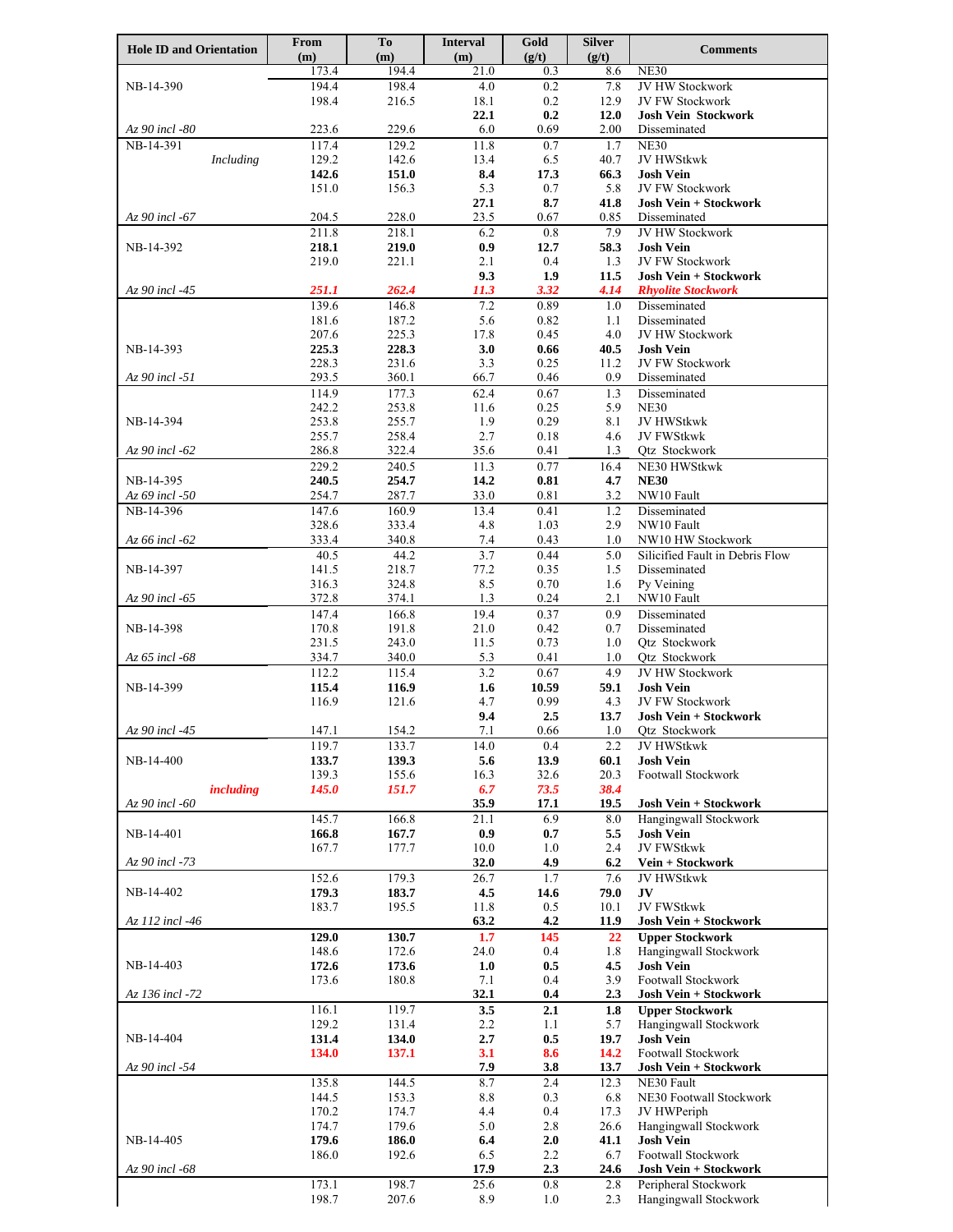| <b>Hole ID and Orientation</b> | From           | To             | <b>Interval</b> | Gold         | <b>Silver</b> | <b>Comments</b>                                           |
|--------------------------------|----------------|----------------|-----------------|--------------|---------------|-----------------------------------------------------------|
|                                | (m)<br>173.4   | (m)<br>194.4   | (m)<br>21.0     | (g/t)<br>0.3 | (g/t)<br>8.6  | <b>NE30</b>                                               |
| NB-14-390                      | 194.4          | 198.4          | 4.0             | 0.2          | 7.8           | JV HW Stockwork                                           |
|                                | 198.4          | 216.5          | 18.1            | 0.2          | 12.9          | <b>JV FW Stockwork</b>                                    |
|                                |                |                | 22.1            | 0.2          | 12.0          | <b>Josh Vein Stockwork</b>                                |
| Az 90 incl -80                 | 223.6          | 229.6          | 6.0             | 0.69         | 2.00          | Disseminated                                              |
| NB-14-391                      | 117.4          | 129.2          | 11.8            | 0.7          | 1.7           | <b>NE30</b>                                               |
| Including                      | 129.2<br>142.6 | 142.6<br>151.0 | 13.4<br>8.4     | 6.5<br>17.3  | 40.7<br>66.3  | <b>JV HWStkwk</b><br><b>Josh Vein</b>                     |
|                                | 151.0          | 156.3          | 5.3             | 0.7          | 5.8           | JV FW Stockwork                                           |
|                                |                |                | 27.1            | 8.7          | 41.8          | <b>Josh Vein + Stockwork</b>                              |
| Az 90 incl -67                 | 204.5          | 228.0          | 23.5            | 0.67         | 0.85          | Disseminated                                              |
|                                | 211.8          | 218.1          | 6.2             | 0.8          | 7.9           | <b>JV HW Stockwork</b>                                    |
| NB-14-392                      | 218.1          | 219.0          | 0.9             | 12.7         | 58.3          | <b>Josh Vein</b>                                          |
|                                | 219.0          | 221.1          | 2.1             | 0.4          | 1.3           | JV FW Stockwork                                           |
| Az 90 incl -45                 | <i>251.1</i>   | 262.4          | 9.3<br>11.3     | 1.9<br>3.32  | 11.5<br>4.14  | <b>Josh Vein + Stockwork</b><br><b>Rhyolite Stockwork</b> |
|                                | 139.6          | 146.8          | 7.2             | 0.89         | 1.0           | Disseminated                                              |
|                                | 181.6          | 187.2          | 5.6             | 0.82         | 1.1           | Disseminated                                              |
|                                | 207.6          | 225.3          | 17.8            | 0.45         | 4.0           | <b>JV HW Stockwork</b>                                    |
| NB-14-393                      | 225.3          | 228.3          | 3.0             | 0.66         | 40.5          | <b>Josh Vein</b>                                          |
|                                | 228.3          | 231.6          | 3.3             | 0.25         | 11.2          | JV FW Stockwork                                           |
| Az 90 incl -51                 | 293.5          | 360.1          | 66.7            | 0.46         | 0.9           | Disseminated                                              |
|                                | 114.9<br>242.2 | 177.3<br>253.8 | 62.4<br>11.6    | 0.67<br>0.25 | 1.3<br>5.9    | Disseminated<br><b>NE30</b>                               |
| NB-14-394                      | 253.8          | 255.7          | 1.9             | 0.29         | 8.1           | JV HWStkwk                                                |
|                                | 255.7          | 258.4          | 2.7             | 0.18         | 4.6           | <b>JV FWStkwk</b>                                         |
| $Az$ 90 incl -62               | 286.8          | 322.4          | 35.6            | 0.41         | 1.3           | Qtz Stockwork                                             |
|                                | 229.2          | 240.5          | 11.3            | 0.77         | 16.4          | NE30 HWStkwk                                              |
| NB-14-395                      | 240.5          | 254.7          | 14.2            | 0.81         | 4.7           | <b>NE30</b>                                               |
| Az 69 incl -50                 | 254.7          | 287.7          | 33.0            | 0.81         | 3.2           | NW10 Fault                                                |
| NB-14-396                      | 147.6<br>328.6 | 160.9<br>333.4 | 13.4<br>4.8     | 0.41<br>1.03 | 1.2<br>2.9    | Disseminated<br>NW10 Fault                                |
| Az 66 incl -62                 | 333.4          | 340.8          | 7.4             | 0.43         | 1.0           | NW10 HW Stockwork                                         |
|                                | 40.5           | 44.2           | 3.7             | 0.44         | 5.0           | Silicified Fault in Debris Flow                           |
| NB-14-397                      | 141.5          | 218.7          | 77.2            | 0.35         | 1.5           | Disseminated                                              |
|                                | 316.3          | 324.8          | 8.5             | 0.70         | 1.6           | Py Veining                                                |
| $Az$ 90 incl -65               | 372.8          | 374.1          | 1.3             | 0.24         | 2.1           | NW10 Fault                                                |
|                                | 147.4          | 166.8          | 19.4            | 0.37         | 0.9           | Disseminated                                              |
| NB-14-398                      | 170.8<br>231.5 | 191.8<br>243.0 | 21.0<br>11.5    | 0.42<br>0.73 | 0.7<br>1.0    | Disseminated<br>Qtz Stockwork                             |
| Az 65 incl -68                 | 334.7          | 340.0          | 5.3             | 0.41         | 1.0           | Qtz Stockwork                                             |
|                                | 112.2          | 115.4          | 3.2             | 0.67         | 4.9           | JV HW Stockwork                                           |
| NB-14-399                      | 115.4          | 116.9          | 1.6             | 10.59        | 59.1          | <b>Josh Vein</b>                                          |
|                                | 116.9          | 121.6          | 4.7             | 0.99         | 4.3           | <b>JV FW Stockwork</b>                                    |
|                                |                |                | 9.4             | 2.5          | 13.7          | <b>Josh Vein + Stockwork</b>                              |
| Az 90 incl -45                 | 147.1<br>119.7 | 154.2<br>133.7 | 7.1<br>14.0     | 0.66<br>0.4  | 1.0<br>2.2    | Qtz Stockwork<br>JV HWStkwk                               |
| NB-14-400                      | 133.7          | 139.3          | 5.6             | 13.9         | 60.1          | <b>Josh Vein</b>                                          |
|                                | 139.3          | 155.6          | 16.3            | 32.6         | 20.3          | Footwall Stockwork                                        |
| including                      | 145.0          | 151.7          | 6.7             | 73.5         | 38.4          |                                                           |
| Az 90 incl -60                 |                |                | 35.9            | 17.1         | 19.5          | Josh Vein + Stockwork                                     |
|                                | 145.7          | 166.8          | 21.1            | 6.9          | 8.0           | Hangingwall Stockwork                                     |
| NB-14-401                      | 166.8<br>167.7 | 167.7<br>177.7 | 0.9             | $0.7\,$      | 5.5           | <b>Josh Vein</b><br>JV FWStkwk                            |
| Az 90 incl -73                 |                |                | 10.0<br>32.0    | 1.0<br>4.9   | 2.4<br>6.2    | Vein + Stockwork                                          |
|                                | 152.6          | 179.3          | 26.7            | 1.7          | 7.6           | JV HWStkwk                                                |
| NB-14-402                      | 179.3          | 183.7          | 4.5             | 14.6         | 79.0          | JV                                                        |
|                                | 183.7          | 195.5          | 11.8            | 0.5          | 10.1          | JV FWStkwk                                                |
| Az 112 incl -46                |                |                | 63.2            | 4.2          | 11.9          | Josh Vein + Stockwork                                     |
|                                | 129.0          | 130.7          | 1.7             | 145          | 22            | <b>Upper Stockwork</b>                                    |
| NB-14-403                      | 148.6<br>172.6 | 172.6<br>173.6 | 24.0<br>1.0     | 0.4<br>0.5   | 1.8<br>4.5    | Hangingwall Stockwork<br><b>Josh Vein</b>                 |
|                                | 173.6          | 180.8          | 7.1             | 0.4          | 3.9           | Footwall Stockwork                                        |
| Az 136 incl -72                |                |                | 32.1            | 0.4          | 2.3           | Josh Vein + Stockwork                                     |
|                                | 116.1          | 119.7          | 3.5             | 2.1          | 1.8           | <b>Upper Stockwork</b>                                    |
|                                | 129.2          | 131.4          | 2.2             | 1.1          | 5.7           | Hangingwall Stockwork                                     |
| NB-14-404                      | 131.4          | 134.0          | $2.7\,$         | 0.5          | 19.7          | <b>Josh Vein</b>                                          |
|                                | <b>134.0</b>   | 137.1          | 3.1<br>7.9      | 8.6          | 14.2          | Footwall Stockwork                                        |
| Az 90 incl -54                 | 135.8          | 144.5          | 8.7             | 3.8<br>2.4   | 13.7<br>12.3  | Josh Vein + Stockwork<br>NE30 Fault                       |
|                                | 144.5          | 153.3          | $8.8\,$         | 0.3          | 6.8           | NE30 Footwall Stockwork                                   |
|                                | 170.2          | 174.7          | 4.4             | 0.4          | 17.3          | JV HWPeriph                                               |
|                                | 174.7          | 179.6          | 5.0             | 2.8          | 26.6          | Hangingwall Stockwork                                     |
| NB-14-405                      | 179.6          | 186.0          | 6.4             | 2.0          | 41.1          | <b>Josh Vein</b>                                          |
|                                | 186.0          | 192.6          | 6.5             | 2.2          | 6.7           | Footwall Stockwork                                        |
| Az 90 incl -68                 | 173.1          | 198.7          | 17.9<br>25.6    | 2.3<br>0.8   | 24.6<br>2.8   | <b>Josh Vein + Stockwork</b><br>Peripheral Stockwork      |
|                                | 198.7          | 207.6          | 8.9             | 1.0          | 2.3           | Hangingwall Stockwork                                     |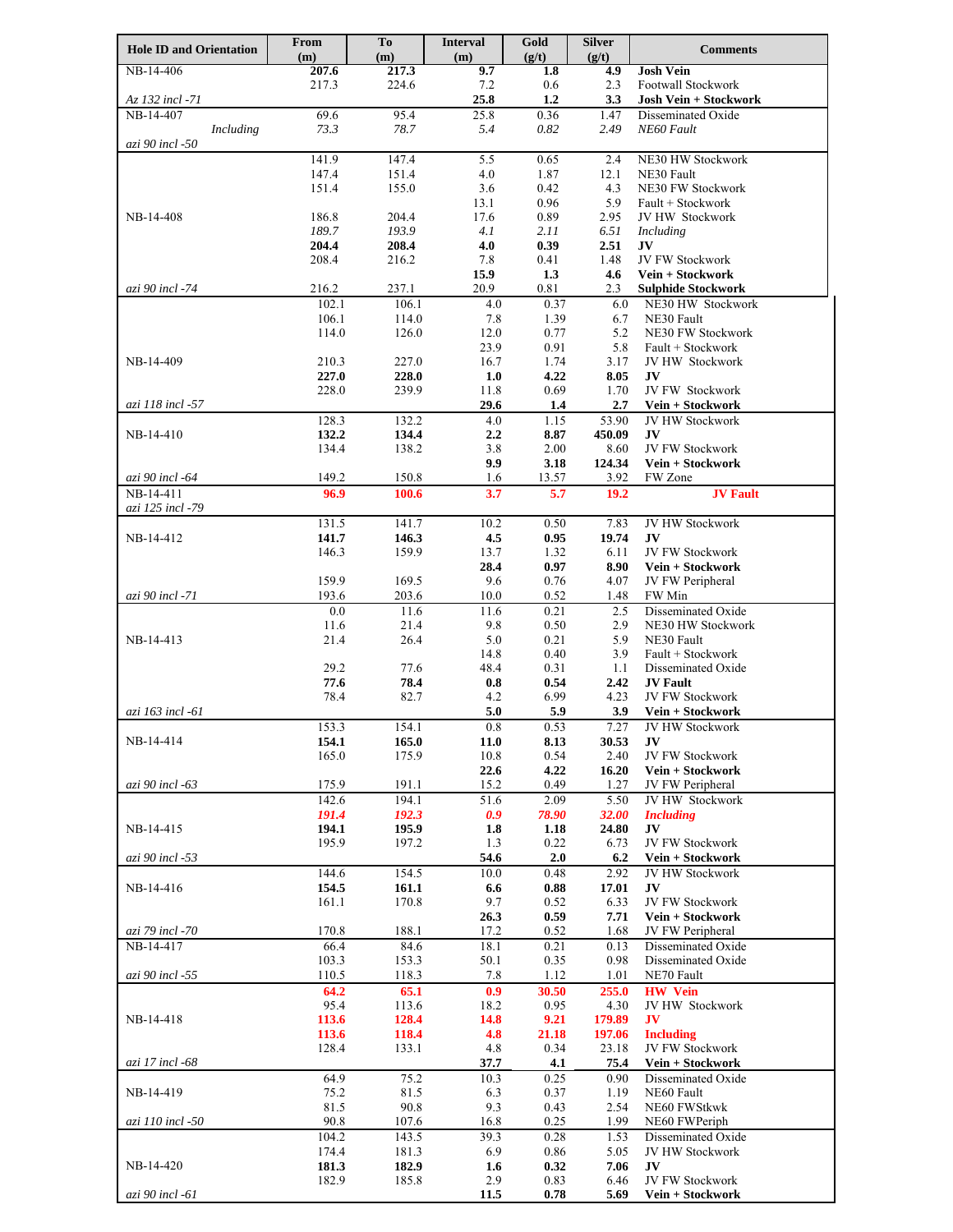| <b>Hole ID and Orientation</b> | From<br>(m)    | To<br>(m)      | <b>Interval</b><br>(m) | Gold<br>(g/t) | <b>Silver</b><br>(g/t) | <b>Comments</b>                                |
|--------------------------------|----------------|----------------|------------------------|---------------|------------------------|------------------------------------------------|
| NB-14-406                      | 207.6          | 217.3          | 9.7                    | 1.8           | 4.9                    | <b>Josh Vein</b>                               |
|                                | 217.3          | 224.6          | 7.2                    | 0.6           | 2.3                    | Footwall Stockwork                             |
| Az 132 incl -71                | 69.6           | 95.4           | 25.8<br>25.8           | 1.2<br>0.36   | 3.3                    | <b>Josh Vein + Stockwork</b>                   |
| NB-14-407<br>Including         | 73.3           | 78.7           | 5.4                    | 0.82          | 1.47<br>2.49           | Disseminated Oxide<br>NE60 Fault               |
| azi 90 incl -50                |                |                |                        |               |                        |                                                |
|                                | 141.9          | 147.4          | 5.5                    | 0.65          | 2.4                    | NE30 HW Stockwork                              |
|                                | 147.4          | 151.4          | 4.0                    | 1.87          | 12.1                   | NE30 Fault                                     |
|                                | 151.4          | 155.0          | 3.6                    | 0.42          | 4.3                    | NE30 FW Stockwork                              |
| NB-14-408                      | 186.8          | 204.4          | 13.1<br>17.6           | 0.96<br>0.89  | 5.9<br>2.95            | Fault + Stockwork<br>JV HW Stockwork           |
|                                | 189.7          | 193.9          | 4.1                    | 2.11          | 6.51                   | Including                                      |
|                                | 204.4          | 208.4          | 4.0                    | 0.39          | 2.51                   | JV                                             |
|                                | 208.4          | 216.2          | 7.8                    | 0.41          | 1.48                   | JV FW Stockwork                                |
|                                |                |                | 15.9                   | 1.3           | 4.6                    | Vein + Stockwork                               |
| azi 90 incl -74                | 216.2<br>102.1 | 237.1<br>106.1 | 20.9<br>4.0            | 0.81<br>0.37  | 2.3<br>6.0             | <b>Sulphide Stockwork</b><br>NE30 HW Stockwork |
|                                | 106.1          | 114.0          | 7.8                    | 1.39          | 6.7                    | NE30 Fault                                     |
|                                | 114.0          | 126.0          | 12.0                   | 0.77          | 5.2                    | <b>NE30 FW Stockwork</b>                       |
|                                |                |                | 23.9                   | 0.91          | 5.8                    | Fault + Stockwork                              |
| NB-14-409                      | 210.3          | 227.0          | 16.7                   | 1.74          | 3.17                   | JV HW Stockwork                                |
|                                | 227.0<br>228.0 | 228.0<br>239.9 | 1.0<br>11.8            | 4.22<br>0.69  | 8.05<br>1.70           | JV<br>JV FW Stockwork                          |
| azi 118 incl -57               |                |                | 29.6                   | 1.4           | 2.7                    | Vein + Stockwork                               |
|                                | 128.3          | 132.2          | 4.0                    | 1.15          | 53.90                  | JV HW Stockwork                                |
| NB-14-410                      | 132.2          | 134.4          | $2.2\phantom{0}$       | 8.87          | 450.09                 | JV                                             |
|                                | 134.4          | 138.2          | 3.8                    | 2.00          | 8.60                   | JV FW Stockwork                                |
|                                |                |                | 9.9                    | 3.18          | 124.34                 | Vein + Stockwork                               |
| azi 90 incl -64<br>NB-14-411   | 149.2<br>96.9  | 150.8<br>100.6 | 1.6<br>3.7             | 13.57<br>5.7  | 3.92<br>19.2           | FW Zone<br><b>JV Fault</b>                     |
| azi 125 incl -79               |                |                |                        |               |                        |                                                |
|                                | 131.5          | 141.7          | 10.2                   | 0.50          | 7.83                   | JV HW Stockwork                                |
| NB-14-412                      | 141.7          | 146.3          | 4.5                    | 0.95          | 19.74                  | JV<br>JV FW Stockwork                          |
|                                | 146.3          | 159.9          | 13.7<br>28.4           | 1.32<br>0.97  | 6.11<br>8.90           | Vein + Stockwork                               |
|                                | 159.9          | 169.5          | 9.6                    | 0.76          | 4.07                   | JV FW Peripheral                               |
| azi 90 incl -71                | 193.6          | 203.6          | 10.0                   | 0.52          | 1.48                   | FW Min                                         |
|                                | 0.0            | 11.6           | 11.6                   | 0.21          | 2.5                    | Disseminated Oxide                             |
|                                | 11.6           | 21.4           | 9.8                    | 0.50          | 2.9                    | NE30 HW Stockwork                              |
| NB-14-413                      | 21.4           | 26.4           | 5.0<br>14.8            | 0.21<br>0.40  | 5.9<br>3.9             | NE30 Fault<br>Fault + Stockwork                |
|                                | 29.2           | 77.6           | 48.4                   | 0.31          | 1.1                    | Disseminated Oxide                             |
|                                | 77.6           | 78.4           | 0.8                    | 0.54          | 2.42                   | <b>JV Fault</b>                                |
|                                | 78.4           | 82.7           | 4.2                    | 6.99          | 4.23                   | JV FW Stockwork                                |
| azi 163 incl -61               |                |                | 5.0                    | 5.9           | 3.9                    | Vein + Stockwork                               |
|                                | 153.3          | 154.1          | $0.8\,$                | 0.53          | 7.27                   | JV HW Stockwork                                |
| NB-14-414                      | 154.1<br>165.0 | 165.0<br>175.9 | 11.0<br>10.8           | 8.13<br>0.54  | 30.53<br>2.40          | JV<br>JV FW Stockwork                          |
|                                |                |                | 22.6                   | 4.22          | 16.20                  | Vein + Stockwork                               |
| azi 90 incl -63                | 175.9          | 191.1          | 15.2                   | 0.49          | 1.27                   | JV FW Peripheral                               |
|                                | 142.6          | 194.1          | 51.6                   | 2.09          | 5.50                   | JV HW Stockwork                                |
|                                | 191.4          | 192.3          | 0.9                    | 78.90         | 32.00                  | <b>Including</b>                               |
| NB-14-415                      | 194.1<br>195.9 | 195.9<br>197.2 | 1.8<br>1.3             | 1.18<br>0.22  | 24.80<br>6.73          | JV<br>JV FW Stockwork                          |
| azi 90 incl -53                |                |                | 54.6                   | 2.0           | 6.2                    | Vein + Stockwork                               |
|                                | 144.6          | 154.5          | 10.0                   | 0.48          | 2.92                   | JV HW Stockwork                                |
| NB-14-416                      | 154.5          | 161.1          | 6.6                    | 0.88          | 17.01                  | JV                                             |
|                                | 161.1          | 170.8          | 9.7                    | 0.52          | 6.33                   | JV FW Stockwork                                |
|                                | 170.8          |                | 26.3                   | 0.59          | 7.71                   | Vein + Stockwork                               |
| azi 79 incl -70<br>NB-14-417   | 66.4           | 188.1<br>84.6  | 17.2<br>18.1           | 0.52<br>0.21  | 1.68<br>0.13           | JV FW Peripheral<br>Disseminated Oxide         |
|                                | 103.3          | 153.3          | 50.1                   | 0.35          | 0.98                   | Disseminated Oxide                             |
| azi 90 incl -55                | 110.5          | 118.3          | 7.8                    | 1.12          | 1.01                   | NE70 Fault                                     |
|                                | 64.2           | 65.1           | 0.9                    | 30.50         | 255.0                  | <b>HW</b> Vein                                 |
|                                | 95.4           | 113.6          | 18.2                   | 0.95          | 4.30                   | JV HW Stockwork                                |
| NB-14-418                      | 113.6<br>113.6 | 128.4<br>118.4 | 14.8<br>4.8            | 9.21<br>21.18 | 179.89<br>197.06       | JV<br><b>Including</b>                         |
|                                | 128.4          | 133.1          | 4.8                    | 0.34          | 23.18                  | <b>JV FW Stockwork</b>                         |
| azi 17 incl -68                |                |                | 37.7                   | 4.1           | 75.4                   | Vein + Stockwork                               |
|                                | 64.9           | 75.2           | 10.3                   | 0.25          | 0.90                   | Disseminated Oxide                             |
| NB-14-419                      | 75.2           | 81.5           | 6.3                    | 0.37          | 1.19                   | NE60 Fault                                     |
|                                | 81.5<br>90.8   | 90.8           | 9.3                    | 0.43<br>0.25  | 2.54<br>1.99           | NE60 FWStkwk                                   |
| azi 110 incl -50               | 104.2          | 107.6<br>143.5 | 16.8<br>39.3           | 0.28          | 1.53                   | NE60 FWPeriph<br>Disseminated Oxide            |
|                                | 174.4          | 181.3          | 6.9                    | 0.86          | 5.05                   | JV HW Stockwork                                |
| NB-14-420                      | 181.3          | 182.9          | 1.6                    | 0.32          | 7.06                   | JV                                             |
|                                | 182.9          | 185.8          | 2.9                    | 0.83          | 6.46                   | JV FW Stockwork                                |
| azi 90 incl -61                |                |                | 11.5                   | 0.78          | 5.69                   | Vein + Stockwork                               |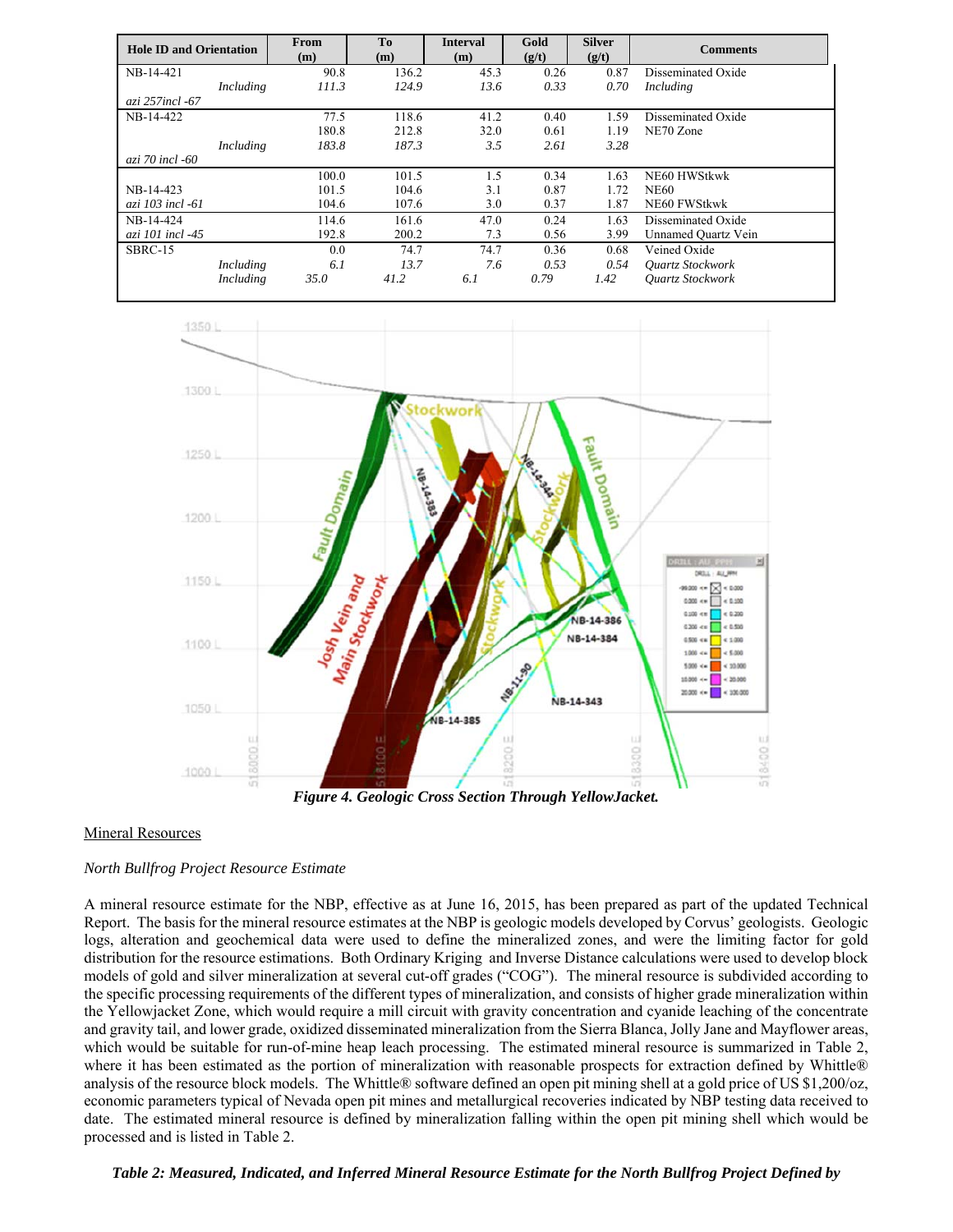| <b>Hole ID and Orientation</b> | From<br>(m) | To<br>(m) | <b>Interval</b><br>(m) | Gold<br>(g/t) | <b>Silver</b><br>(g/t) | <b>Comments</b>         |
|--------------------------------|-------------|-----------|------------------------|---------------|------------------------|-------------------------|
| NB-14-421                      | 90.8        | 136.2     | 45.3                   | 0.26          | 0.87                   | Disseminated Oxide      |
| Including                      | 111.3       | 124.9     | 13.6                   | 0.33          | 0.70                   | Including               |
| azi 257incl -67                |             |           |                        |               |                        |                         |
| NB-14-422                      | 77.5        | 118.6     | 41.2                   | 0.40          | 1.59                   | Disseminated Oxide      |
|                                | 180.8       | 212.8     | 32.0                   | 0.61          | 1.19                   | NE70 Zone               |
| Including                      | 183.8       | 187.3     | 3.5                    | 2.61          | 3.28                   |                         |
| azi 70 incl -60                |             |           |                        |               |                        |                         |
|                                | 100.0       | 101.5     | 1.5                    | 0.34          | 1.63                   | NE60 HWStkwk            |
| NB-14-423                      | 101.5       | 104.6     | 3.1                    | 0.87          | 1.72                   | <b>NE60</b>             |
| azi 103 incl -61               | 104.6       | 107.6     | 3.0                    | 0.37          | 1.87                   | NE60 FWStkwk            |
| NB-14-424                      | 114.6       | 161.6     | 47.0                   | 0.24          | 1.63                   | Disseminated Oxide      |
| azi 101 incl -45               | 192.8       | 200.2     | 7.3                    | 0.56          | 3.99                   | Unnamed Quartz Vein     |
| SBRC-15                        | 0.0         | 74.7      | 74.7                   | 0.36          | 0.68                   | Veined Oxide            |
| Including                      | 6.1         | 13.7      | 7.6                    | 0.53          | 0.54                   | <b>Ouartz Stockwork</b> |
| Including                      | 35.O        | 41.2      | 6.1                    | 0.79          | 1.42                   | <b>Ouartz Stockwork</b> |



*Figure 4. Geologic Cross Section Through YellowJacket.* 

## Mineral Resources

## *North Bullfrog Project Resource Estimate*

A mineral resource estimate for the NBP, effective as at June 16, 2015, has been prepared as part of the updated Technical Report. The basis for the mineral resource estimates at the NBP is geologic models developed by Corvus' geologists. Geologic logs, alteration and geochemical data were used to define the mineralized zones, and were the limiting factor for gold distribution for the resource estimations. Both Ordinary Kriging and Inverse Distance calculations were used to develop block models of gold and silver mineralization at several cut-off grades ("COG"). The mineral resource is subdivided according to the specific processing requirements of the different types of mineralization, and consists of higher grade mineralization within the Yellowjacket Zone, which would require a mill circuit with gravity concentration and cyanide leaching of the concentrate and gravity tail, and lower grade, oxidized disseminated mineralization from the Sierra Blanca, Jolly Jane and Mayflower areas, which would be suitable for run-of-mine heap leach processing. The estimated mineral resource is summarized in Table 2, where it has been estimated as the portion of mineralization with reasonable prospects for extraction defined by Whittle® analysis of the resource block models. The Whittle® software defined an open pit mining shell at a gold price of US \$1,200/oz, economic parameters typical of Nevada open pit mines and metallurgical recoveries indicated by NBP testing data received to date. The estimated mineral resource is defined by mineralization falling within the open pit mining shell which would be processed and is listed in Table 2.

*Table 2: Measured, Indicated, and Inferred Mineral Resource Estimate for the North Bullfrog Project Defined by*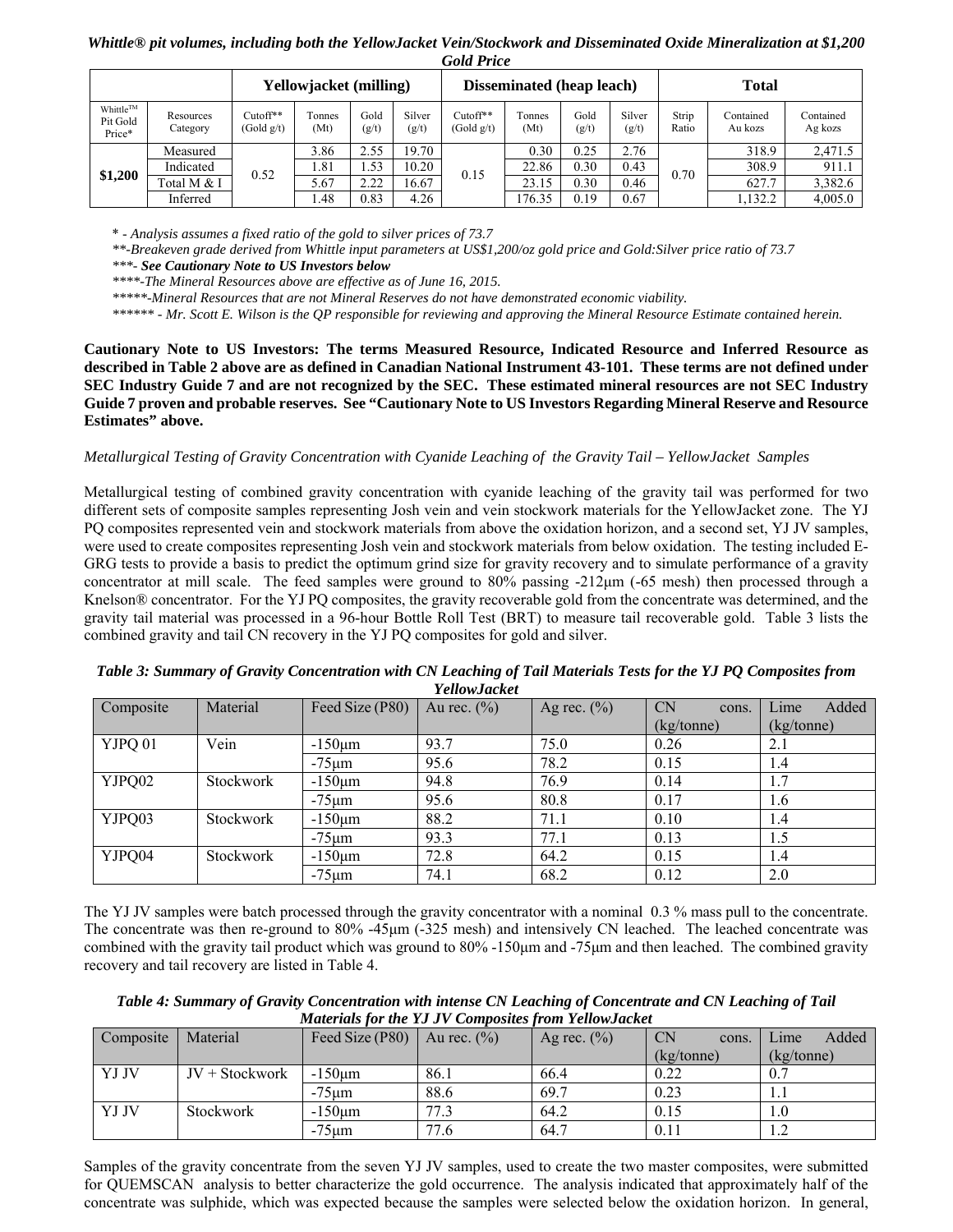## *Whittle® pit volumes, including both the YellowJacket Vein/Stockwork and Disseminated Oxide Mineralization at \$1,200 Gold Price*

|                                |                       |                        | Yellowjacket (milling) |               |                 |                        | <b>Disseminated (heap leach)</b> |               |                 |                | <b>Total</b>         |                      |
|--------------------------------|-----------------------|------------------------|------------------------|---------------|-----------------|------------------------|----------------------------------|---------------|-----------------|----------------|----------------------|----------------------|
| Whittle™<br>Pit Gold<br>Price* | Resources<br>Category | Cutoff**<br>(Gold g/t) | Tonnes<br>(Mt)         | Gold<br>(g/t) | Silver<br>(g/t) | Cutoff**<br>(Gold g/t) | Tonnes<br>(Mt)                   | Gold<br>(g/t) | Silver<br>(g/t) | Strip<br>Ratio | Contained<br>Au kozs | Contained<br>Ag kozs |
|                                | Measured              |                        | 3.86                   | 2.55          | 19.70           |                        | 0.30                             | 0.25          | 2.76            |                | 318.9                | 2,471.5              |
|                                | Indicated             | 0.52                   | 1.81                   | 1.53          | 10.20           | 0.15                   | 22.86                            | 0.30          | 0.43            | 0.70           | 308.9                | 911.1                |
| \$1,200                        | Total M & I           |                        | 5.67                   | 2.22          | 16.67           |                        | 23.15                            | 0.30          | 0.46            |                | 627.7                | 3,382.6              |
|                                | Inferred              |                        | 1.48                   | 0.83          | 4.26            |                        | 176.35                           | 0.19          | 0.67            |                | 1,132.2              | 4,005.0              |

\* - *Analysis assumes a fixed ratio of the gold to silver prices of 73.7* 

*\*\*-Breakeven grade derived from Whittle input parameters at US\$1,200/oz gold price and Gold:Silver price ratio of 73.7* 

*\*\*\*- See Cautionary Note to US Investors below* 

*\*\*\*\*-The Mineral Resources above are effective as of June 16, 2015.*

*\*\*\*\*\*-Mineral Resources that are not Mineral Reserves do not have demonstrated economic viability.* 

*\*\*\*\*\*\* - Mr. Scott E. Wilson is the QP responsible for reviewing and approving the Mineral Resource Estimate contained herein.*

**Cautionary Note to US Investors: The terms Measured Resource, Indicated Resource and Inferred Resource as described in Table 2 above are as defined in Canadian National Instrument 43-101. These terms are not defined under SEC Industry Guide 7 and are not recognized by the SEC. These estimated mineral resources are not SEC Industry Guide 7 proven and probable reserves. See "Cautionary Note to US Investors Regarding Mineral Reserve and Resource Estimates" above.** 

#### *Metallurgical Testing of Gravity Concentration with Cyanide Leaching of the Gravity Tail – YellowJacket Samples*

Metallurgical testing of combined gravity concentration with cyanide leaching of the gravity tail was performed for two different sets of composite samples representing Josh vein and vein stockwork materials for the YellowJacket zone. The YJ PQ composites represented vein and stockwork materials from above the oxidation horizon, and a second set, YJ JV samples, were used to create composites representing Josh vein and stockwork materials from below oxidation. The testing included E-GRG tests to provide a basis to predict the optimum grind size for gravity recovery and to simulate performance of a gravity concentrator at mill scale. The feed samples were ground to 80% passing -212μm (-65 mesh) then processed through a Knelson® concentrator. For the YJ PQ composites, the gravity recoverable gold from the concentrate was determined, and the gravity tail material was processed in a 96-hour Bottle Roll Test (BRT) to measure tail recoverable gold. Table 3 lists the combined gravity and tail CN recovery in the YJ PQ composites for gold and silver.

| Composite | Material         | Feed Size (P80) | Au rec. $(\% )$ | Ag rec. $(\%)$ | <b>CN</b><br>cons. | Added<br>Lime |
|-----------|------------------|-----------------|-----------------|----------------|--------------------|---------------|
|           |                  |                 |                 |                | (kg/tonne)         | (kg/tonne)    |
| YJPQ 01   | Vein             | $-150 \mu m$    | 93.7            | 75.0           | 0.26               | 2.1           |
|           |                  | $-75 \mu m$     | 95.6            | 78.2           | 0.15               | 1.4           |
| YJPQ02    | <b>Stockwork</b> | $-150 \mu m$    | 94.8            | 76.9           | 0.14               | 1.7           |
|           |                  | $-75 \mu m$     | 95.6            | 80.8           | 0.17               | 1.6           |
| YJPQ03    | <b>Stockwork</b> | $-150 \mu m$    | 88.2            | 71.1           | 0.10               | 1.4           |
|           |                  | $-75 \mu m$     | 93.3            | 77.1           | 0.13               | 1.5           |
| YJPQ04    | <b>Stockwork</b> | $-150 \mu m$    | 72.8            | 64.2           | 0.15               | 1.4           |
|           |                  | $-75 \mu m$     | 74.1            | 68.2           | 0.12               | 2.0           |

*Table 3: Summary of Gravity Concentration with CN Leaching of Tail Materials Tests for the YJ PQ Composites from YellowJacket*

The YJ JV samples were batch processed through the gravity concentrator with a nominal 0.3 % mass pull to the concentrate. The concentrate was then re-ground to 80% -45μm (-325 mesh) and intensively CN leached. The leached concentrate was combined with the gravity tail product which was ground to 80% -150μm and -75μm and then leached. The combined gravity recovery and tail recovery are listed in Table 4.

| Table 4: Summary of Gravity Concentration with intense CN Leaching of Concentrate and CN Leaching of Tail |
|-----------------------------------------------------------------------------------------------------------|
| <b>Materials for the YJ JV Composites from YellowJacket</b>                                               |

| Composite | Material         | Feed Size $(P80)$ | Au rec. $(\% )$ | Ag rec. $(\%$ ) | <b>CN</b><br>cons. | Added<br>Lime    |
|-----------|------------------|-------------------|-----------------|-----------------|--------------------|------------------|
|           |                  |                   |                 |                 | (kg/tonne)         | (kg/tonne)       |
| YJ JV     | $JV + Stockwork$ | $-150 \mu m$      | 86.1            | 66.4            | 0.22               | 0.7              |
|           |                  | $-75 \mu m$       | 88.6            | 69.7            | 0.23               |                  |
| YJ JV     | <b>Stockwork</b> | $-150 \mu m$      | 77.3            | 64.2            | 0.15               |                  |
|           |                  | $-75$ um          | 77.6            | 64.7            | 0.11               | $\overline{1}$ . |

Samples of the gravity concentrate from the seven YJ JV samples, used to create the two master composites, were submitted for QUEMSCAN analysis to better characterize the gold occurrence. The analysis indicated that approximately half of the concentrate was sulphide, which was expected because the samples were selected below the oxidation horizon. In general,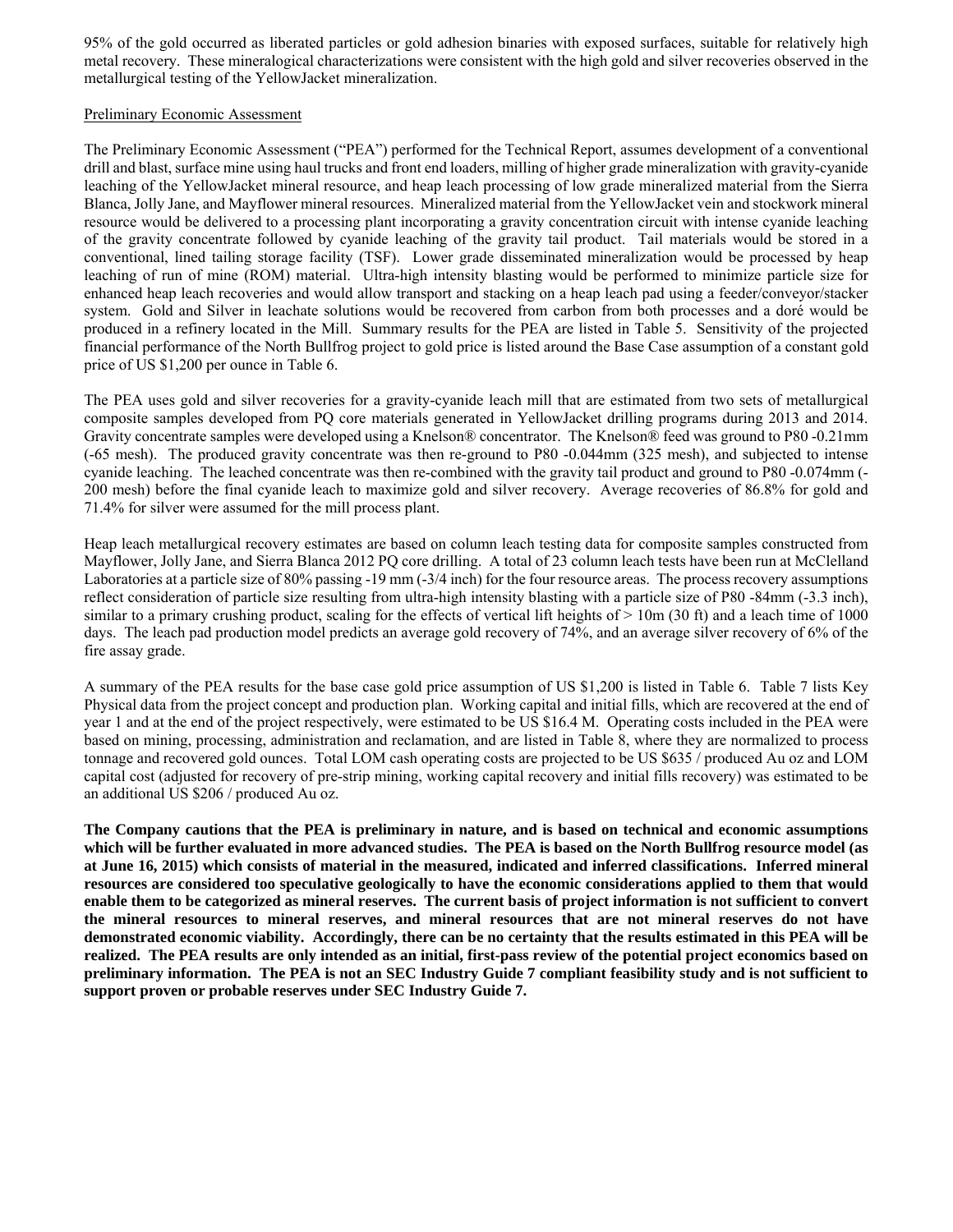95% of the gold occurred as liberated particles or gold adhesion binaries with exposed surfaces, suitable for relatively high metal recovery. These mineralogical characterizations were consistent with the high gold and silver recoveries observed in the metallurgical testing of the YellowJacket mineralization.

#### Preliminary Economic Assessment

The Preliminary Economic Assessment ("PEA") performed for the Technical Report, assumes development of a conventional drill and blast, surface mine using haul trucks and front end loaders, milling of higher grade mineralization with gravity-cyanide leaching of the YellowJacket mineral resource, and heap leach processing of low grade mineralized material from the Sierra Blanca, Jolly Jane, and Mayflower mineral resources. Mineralized material from the YellowJacket vein and stockwork mineral resource would be delivered to a processing plant incorporating a gravity concentration circuit with intense cyanide leaching of the gravity concentrate followed by cyanide leaching of the gravity tail product. Tail materials would be stored in a conventional, lined tailing storage facility (TSF). Lower grade disseminated mineralization would be processed by heap leaching of run of mine (ROM) material. Ultra-high intensity blasting would be performed to minimize particle size for enhanced heap leach recoveries and would allow transport and stacking on a heap leach pad using a feeder/conveyor/stacker system. Gold and Silver in leachate solutions would be recovered from carbon from both processes and a doré would be produced in a refinery located in the Mill. Summary results for the PEA are listed in Table 5. Sensitivity of the projected financial performance of the North Bullfrog project to gold price is listed around the Base Case assumption of a constant gold price of US \$1,200 per ounce in Table 6.

The PEA uses gold and silver recoveries for a gravity-cyanide leach mill that are estimated from two sets of metallurgical composite samples developed from PQ core materials generated in YellowJacket drilling programs during 2013 and 2014. Gravity concentrate samples were developed using a Knelson® concentrator. The Knelson® feed was ground to P80 -0.21mm (-65 mesh). The produced gravity concentrate was then re-ground to P80 -0.044mm (325 mesh), and subjected to intense cyanide leaching. The leached concentrate was then re-combined with the gravity tail product and ground to P80 -0.074mm (- 200 mesh) before the final cyanide leach to maximize gold and silver recovery. Average recoveries of 86.8% for gold and 71.4% for silver were assumed for the mill process plant.

Heap leach metallurgical recovery estimates are based on column leach testing data for composite samples constructed from Mayflower, Jolly Jane, and Sierra Blanca 2012 PQ core drilling. A total of 23 column leach tests have been run at McClelland Laboratories at a particle size of 80% passing -19 mm (-3/4 inch) for the four resource areas. The process recovery assumptions reflect consideration of particle size resulting from ultra-high intensity blasting with a particle size of P80 -84mm (-3.3 inch), similar to a primary crushing product, scaling for the effects of vertical lift heights of  $> 10m$  (30 ft) and a leach time of 1000 days. The leach pad production model predicts an average gold recovery of 74%, and an average silver recovery of 6% of the fire assay grade.

A summary of the PEA results for the base case gold price assumption of US \$1,200 is listed in Table 6. Table 7 lists Key Physical data from the project concept and production plan. Working capital and initial fills, which are recovered at the end of year 1 and at the end of the project respectively, were estimated to be US \$16.4 M. Operating costs included in the PEA were based on mining, processing, administration and reclamation, and are listed in Table 8, where they are normalized to process tonnage and recovered gold ounces. Total LOM cash operating costs are projected to be US \$635 / produced Au oz and LOM capital cost (adjusted for recovery of pre-strip mining, working capital recovery and initial fills recovery) was estimated to be an additional US \$206 / produced Au oz.

**The Company cautions that the PEA is preliminary in nature, and is based on technical and economic assumptions which will be further evaluated in more advanced studies. The PEA is based on the North Bullfrog resource model (as at June 16, 2015) which consists of material in the measured, indicated and inferred classifications. Inferred mineral resources are considered too speculative geologically to have the economic considerations applied to them that would enable them to be categorized as mineral reserves. The current basis of project information is not sufficient to convert the mineral resources to mineral reserves, and mineral resources that are not mineral reserves do not have demonstrated economic viability. Accordingly, there can be no certainty that the results estimated in this PEA will be realized. The PEA results are only intended as an initial, first-pass review of the potential project economics based on preliminary information. The PEA is not an SEC Industry Guide 7 compliant feasibility study and is not sufficient to support proven or probable reserves under SEC Industry Guide 7.**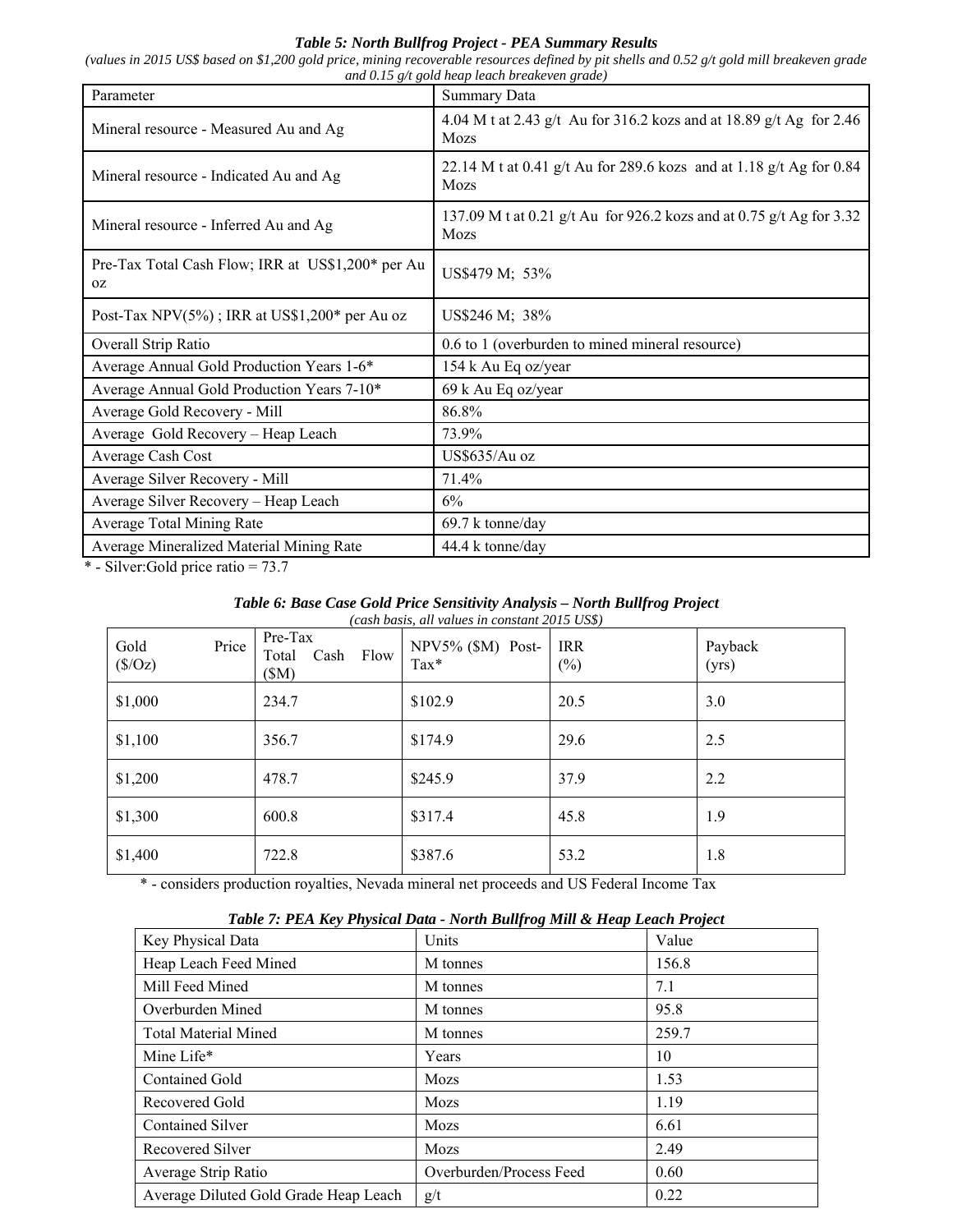# *Table 5: North Bullfrog Project - PEA Summary Results*

*(values in 2015 US\$ based on \$1,200 gold price, mining recoverable resources defined by pit shells and 0.52 g/t gold mill breakeven grade and 0.15 g/t gold heap leach breakeven grade)*

| Parameter                                               | <b>Summary Data</b>                                                          |
|---------------------------------------------------------|------------------------------------------------------------------------------|
| Mineral resource - Measured Au and Ag                   | 4.04 M t at 2.43 g/t Au for 316.2 kozs and at 18.89 g/t Ag for 2.46<br>Mozs  |
| Mineral resource - Indicated Au and Ag                  | 22.14 M t at 0.41 g/t Au for 289.6 kozs and at 1.18 g/t Ag for 0.84<br>Mozs  |
| Mineral resource - Inferred Au and Ag                   | 137.09 M t at 0.21 g/t Au for 926.2 kozs and at 0.75 g/t Ag for 3.32<br>Mozs |
| Pre-Tax Total Cash Flow; IRR at US\$1,200* per Au<br>0Z | US\$479 M; 53%                                                               |
| Post-Tax NPV $(5\%)$ ; IRR at US\$1,200* per Au oz      | US\$246 M; 38%                                                               |
| Overall Strip Ratio                                     | 0.6 to 1 (overburden to mined mineral resource)                              |
| Average Annual Gold Production Years 1-6*               | 154 k Au Eq oz/year                                                          |
| Average Annual Gold Production Years 7-10*              | 69 k Au Eq oz/year                                                           |
| Average Gold Recovery - Mill                            | 86.8%                                                                        |
| Average Gold Recovery - Heap Leach                      | 73.9%                                                                        |
| Average Cash Cost                                       | US\$635/Au oz                                                                |
| Average Silver Recovery - Mill                          | 71.4%                                                                        |
| Average Silver Recovery - Heap Leach                    | 6%                                                                           |
| Average Total Mining Rate                               | 69.7 k tonne/day                                                             |
| Average Mineralized Material Mining Rate                | 44.4 k tonne/day                                                             |

\* - Silver:Gold price ratio = 73.7

#### *Table 6: Base Case Gold Price Sensitivity Analysis – North Bullfrog Project (cash basis, all values in constant 2015 US\$)*

| Gold<br>(S/Oz) | Price | Pre-Tax<br>Total<br>(SM) | Cash | Flow | NPV5% (\$M) Post-<br>$\text{Tax*}$ | <b>IRR</b><br>$(\%)$ | Payback<br>(yrs) |
|----------------|-------|--------------------------|------|------|------------------------------------|----------------------|------------------|
| \$1,000        |       | 234.7                    |      |      | \$102.9                            | 20.5                 | 3.0              |
| \$1,100        |       | 356.7                    |      |      | \$174.9                            | 29.6                 | 2.5              |
| \$1,200        |       | 478.7                    |      |      | \$245.9                            | 37.9                 | 2.2              |
| \$1,300        |       | 600.8                    |      |      | \$317.4                            | 45.8                 | 1.9              |
| \$1,400        |       | 722.8                    |      |      | \$387.6                            | 53.2                 | 1.8              |

\* - considers production royalties, Nevada mineral net proceeds and US Federal Income Tax

# *Table 7: PEA Key Physical Data - North Bullfrog Mill & Heap Leach Project*

|                                       | , σ                     |       |
|---------------------------------------|-------------------------|-------|
| Key Physical Data                     | Units                   | Value |
| Heap Leach Feed Mined                 | M tonnes                | 156.8 |
| Mill Feed Mined                       | M tonnes                | 7.1   |
| Overburden Mined                      | M tonnes                | 95.8  |
| <b>Total Material Mined</b>           | M tonnes                | 259.7 |
| Mine Life*                            | Years                   | 10    |
| <b>Contained Gold</b>                 | Mozs                    | 1.53  |
| Recovered Gold                        | Mozs                    | 1.19  |
| <b>Contained Silver</b>               | Mozs                    | 6.61  |
| Recovered Silver                      | Mozs                    | 2.49  |
| Average Strip Ratio                   | Overburden/Process Feed | 0.60  |
| Average Diluted Gold Grade Heap Leach | g/t                     | 0.22  |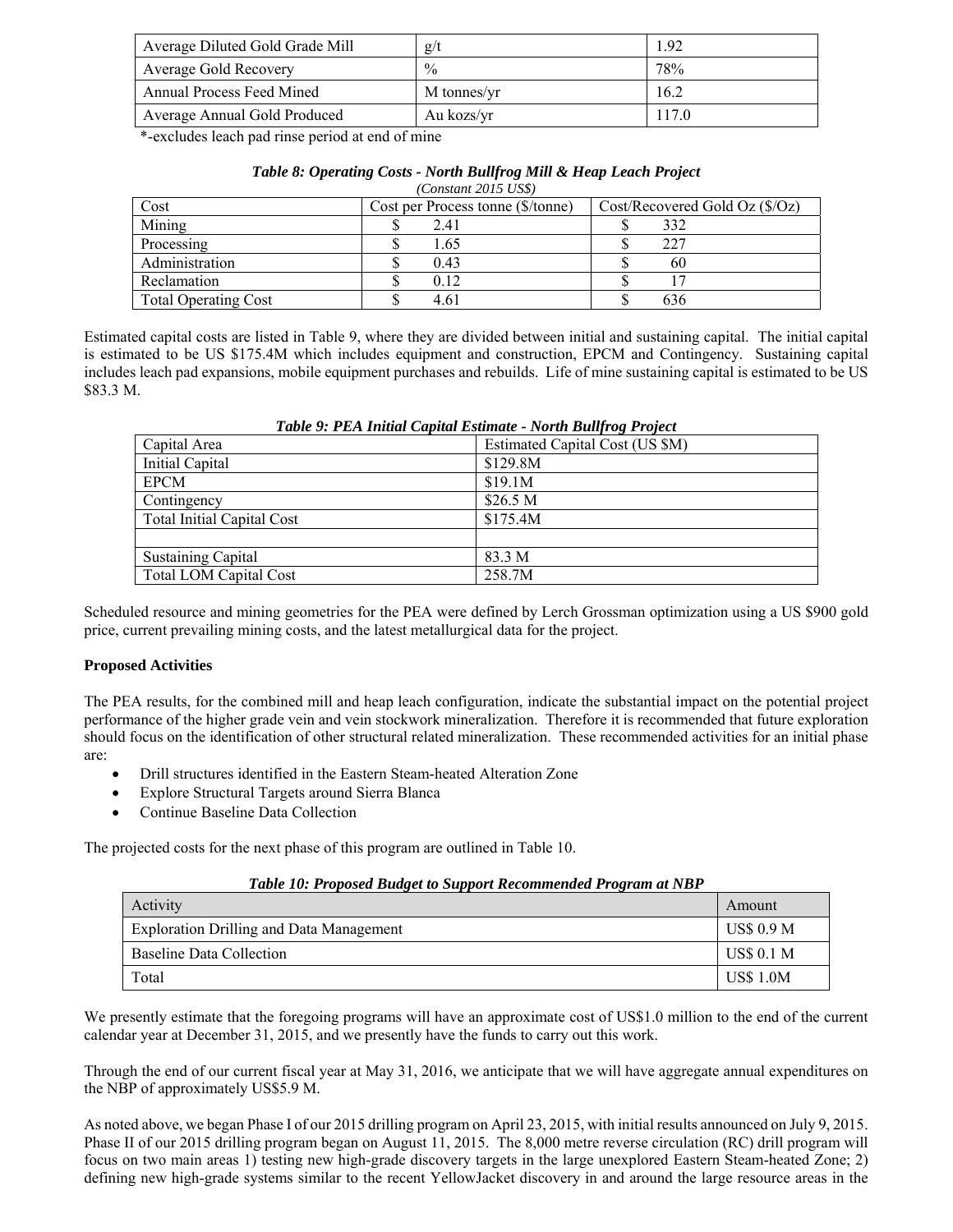| Average Diluted Gold Grade Mill | g/t           | -92   |
|---------------------------------|---------------|-------|
| Average Gold Recovery           | $\frac{0}{0}$ | 78%   |
| Annual Process Feed Mined       | M tonnes/yr   | 16.2  |
| Average Annual Gold Produced    | Au kozs/yr    | 117.0 |

\*-excludes leach pad rinse period at end of mine

| Table 8: Operating Costs - North Bullfrog Mill & Heap Leach Project |                                          |  |
|---------------------------------------------------------------------|------------------------------------------|--|
|                                                                     | $(C_{\text{constant}} 2015 \text{ HCP})$ |  |

| Constant 2010 ODOT          |                                   |                             |  |  |
|-----------------------------|-----------------------------------|-----------------------------|--|--|
| Cost                        | Cost per Process tonne (\$/tonne) | Cost/Record Gold Oz (\$/Oz) |  |  |
| Mining                      | 2.41                              | 332                         |  |  |
| Processing                  | 1.65                              | 227                         |  |  |
| Administration              | 0.43                              | 60                          |  |  |
| Reclamation                 | 0.12                              |                             |  |  |
| <b>Total Operating Cost</b> | 4.61                              | 636                         |  |  |

Estimated capital costs are listed in Table 9, where they are divided between initial and sustaining capital. The initial capital is estimated to be US \$175.4M which includes equipment and construction, EPCM and Contingency. Sustaining capital includes leach pad expansions, mobile equipment purchases and rebuilds. Life of mine sustaining capital is estimated to be US \$83.3 M.

| Capital Area                      | Estimated Capital Cost (US \$M) |
|-----------------------------------|---------------------------------|
| Initial Capital                   | \$129.8M                        |
| <b>EPCM</b>                       | \$19.1M                         |
| Contingency                       | \$26.5 M                        |
| <b>Total Initial Capital Cost</b> | \$175.4M                        |
|                                   |                                 |
| <b>Sustaining Capital</b>         | 83.3 M                          |
| <b>Total LOM Capital Cost</b>     | 258.7M                          |

## *Table 9: PEA Initial Capital Estimate - North Bullfrog Project*

Scheduled resource and mining geometries for the PEA were defined by Lerch Grossman optimization using a US \$900 gold price, current prevailing mining costs, and the latest metallurgical data for the project.

## **Proposed Activities**

The PEA results, for the combined mill and heap leach configuration, indicate the substantial impact on the potential project performance of the higher grade vein and vein stockwork mineralization. Therefore it is recommended that future exploration should focus on the identification of other structural related mineralization. These recommended activities for an initial phase are:

- Drill structures identified in the Eastern Steam-heated Alteration Zone
- Explore Structural Targets around Sierra Blanca
- Continue Baseline Data Collection

The projected costs for the next phase of this program are outlined in Table 10.

| Table 10: Proposed Budget to Support Recommended Program at NBP |  |
|-----------------------------------------------------------------|--|
|-----------------------------------------------------------------|--|

| Activity                                 | Amount            |
|------------------------------------------|-------------------|
| Exploration Drilling and Data Management | US\$ 0.9 M        |
| Baseline Data Collection                 | <b>US\$ 0.1 M</b> |
| Total                                    | <b>US\$ 1.0M</b>  |

We presently estimate that the foregoing programs will have an approximate cost of US\$1.0 million to the end of the current calendar year at December 31, 2015, and we presently have the funds to carry out this work.

Through the end of our current fiscal year at May 31, 2016, we anticipate that we will have aggregate annual expenditures on the NBP of approximately US\$5.9 M.

As noted above, we began Phase I of our 2015 drilling program on April 23, 2015, with initial results announced on July 9, 2015. Phase II of our 2015 drilling program began on August 11, 2015. The 8,000 metre reverse circulation (RC) drill program will focus on two main areas 1) testing new high-grade discovery targets in the large unexplored Eastern Steam-heated Zone; 2) defining new high-grade systems similar to the recent YellowJacket discovery in and around the large resource areas in the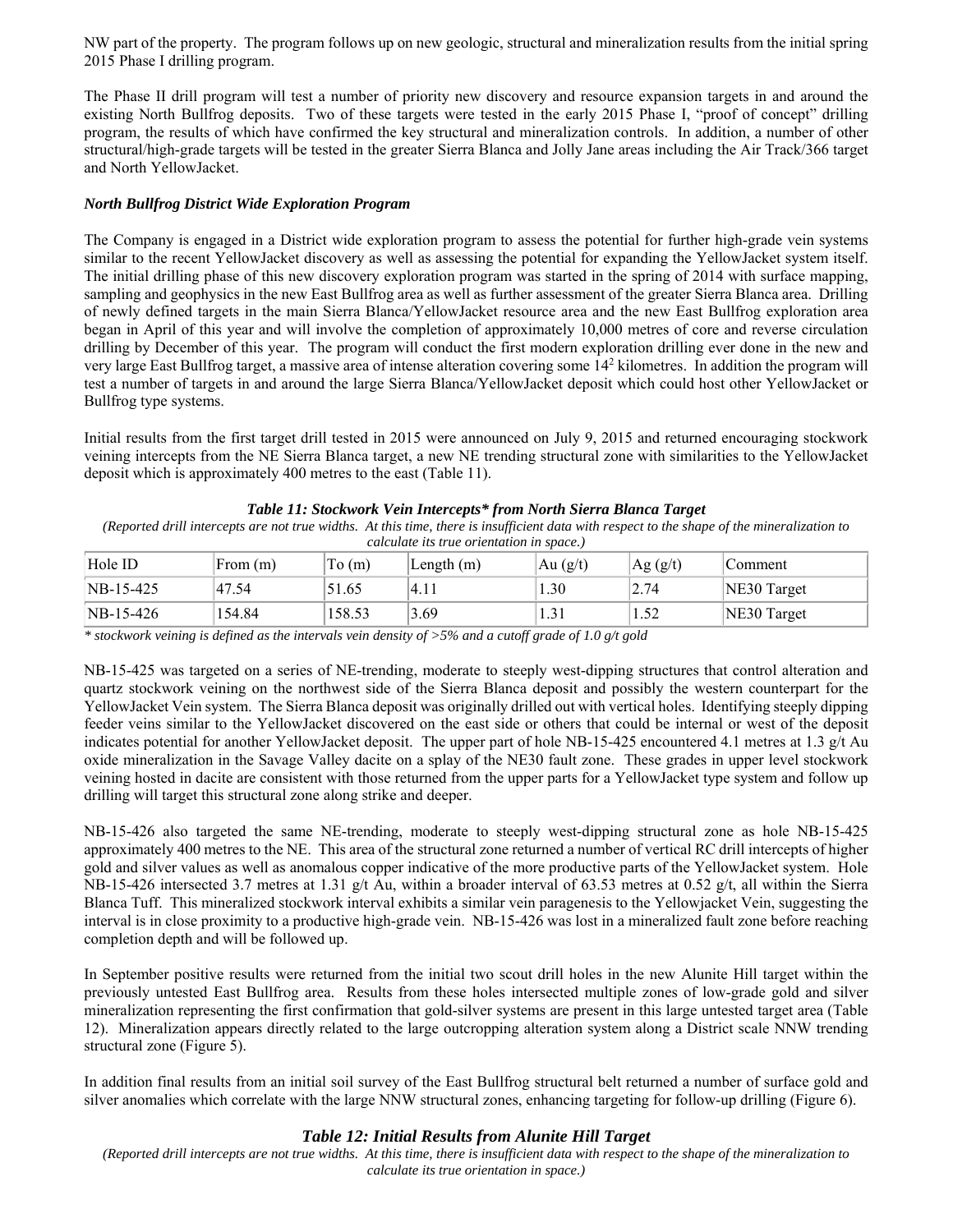NW part of the property. The program follows up on new geologic, structural and mineralization results from the initial spring 2015 Phase I drilling program.

The Phase II drill program will test a number of priority new discovery and resource expansion targets in and around the existing North Bullfrog deposits. Two of these targets were tested in the early 2015 Phase I, "proof of concept" drilling program, the results of which have confirmed the key structural and mineralization controls. In addition, a number of other structural/high-grade targets will be tested in the greater Sierra Blanca and Jolly Jane areas including the Air Track/366 target and North YellowJacket.

#### *North Bullfrog District Wide Exploration Program*

The Company is engaged in a District wide exploration program to assess the potential for further high-grade vein systems similar to the recent YellowJacket discovery as well as assessing the potential for expanding the YellowJacket system itself. The initial drilling phase of this new discovery exploration program was started in the spring of 2014 with surface mapping, sampling and geophysics in the new East Bullfrog area as well as further assessment of the greater Sierra Blanca area. Drilling of newly defined targets in the main Sierra Blanca/YellowJacket resource area and the new East Bullfrog exploration area began in April of this year and will involve the completion of approximately 10,000 metres of core and reverse circulation drilling by December of this year. The program will conduct the first modern exploration drilling ever done in the new and very large East Bullfrog target, a massive area of intense alteration covering some 142 kilometres. In addition the program will test a number of targets in and around the large Sierra Blanca/YellowJacket deposit which could host other YellowJacket or Bullfrog type systems.

Initial results from the first target drill tested in 2015 were announced on July 9, 2015 and returned encouraging stockwork veining intercepts from the NE Sierra Blanca target, a new NE trending structural zone with similarities to the YellowJacket deposit which is approximately 400 metres to the east (Table 11).

#### *Table 11: Stockwork Vein Intercepts\* from North Sierra Blanca Target*

*(Reported drill intercepts are not true widths. At this time, there is insufficient data with respect to the shape of the mineralization to calculate its true orientation in space.)* 

| Hole ID     | From (m) | To(m)  | $\mathsf{Length}\left( \mathsf{m} \right)$ | Au $(g/t)$ | Ag (g/t) | Comment     |
|-------------|----------|--------|--------------------------------------------|------------|----------|-------------|
| $NB-15-425$ | 47.54    | 51.65  | 4.11                                       | 1.30       | 2.74     | NE30 Target |
| $NB-15-426$ | 154.84   | 158.53 | 3.69                                       | 1.31       | 1.52     | NE30 Target |

*\* stockwork veining is defined as the intervals vein density of >5% and a cutoff grade of 1.0 g/t gold* 

NB-15-425 was targeted on a series of NE-trending, moderate to steeply west-dipping structures that control alteration and quartz stockwork veining on the northwest side of the Sierra Blanca deposit and possibly the western counterpart for the YellowJacket Vein system. The Sierra Blanca deposit was originally drilled out with vertical holes. Identifying steeply dipping feeder veins similar to the YellowJacket discovered on the east side or others that could be internal or west of the deposit indicates potential for another YellowJacket deposit. The upper part of hole NB-15-425 encountered 4.1 metres at 1.3 g/t Au oxide mineralization in the Savage Valley dacite on a splay of the NE30 fault zone. These grades in upper level stockwork veining hosted in dacite are consistent with those returned from the upper parts for a YellowJacket type system and follow up drilling will target this structural zone along strike and deeper.

NB-15-426 also targeted the same NE-trending, moderate to steeply west-dipping structural zone as hole NB-15-425 approximately 400 metres to the NE. This area of the structural zone returned a number of vertical RC drill intercepts of higher gold and silver values as well as anomalous copper indicative of the more productive parts of the YellowJacket system. Hole NB-15-426 intersected 3.7 metres at 1.31 g/t Au, within a broader interval of 63.53 metres at 0.52 g/t, all within the Sierra Blanca Tuff. This mineralized stockwork interval exhibits a similar vein paragenesis to the Yellowjacket Vein, suggesting the interval is in close proximity to a productive high-grade vein. NB-15-426 was lost in a mineralized fault zone before reaching completion depth and will be followed up.

In September positive results were returned from the initial two scout drill holes in the new Alunite Hill target within the previously untested East Bullfrog area. Results from these holes intersected multiple zones of low-grade gold and silver mineralization representing the first confirmation that gold-silver systems are present in this large untested target area (Table 12). Mineralization appears directly related to the large outcropping alteration system along a District scale NNW trending structural zone (Figure 5).

In addition final results from an initial soil survey of the East Bullfrog structural belt returned a number of surface gold and silver anomalies which correlate with the large NNW structural zones, enhancing targeting for follow-up drilling (Figure 6).

## *Table 12: Initial Results from Alunite Hill Target*

*(Reported drill intercepts are not true widths. At this time, there is insufficient data with respect to the shape of the mineralization to calculate its true orientation in space.)*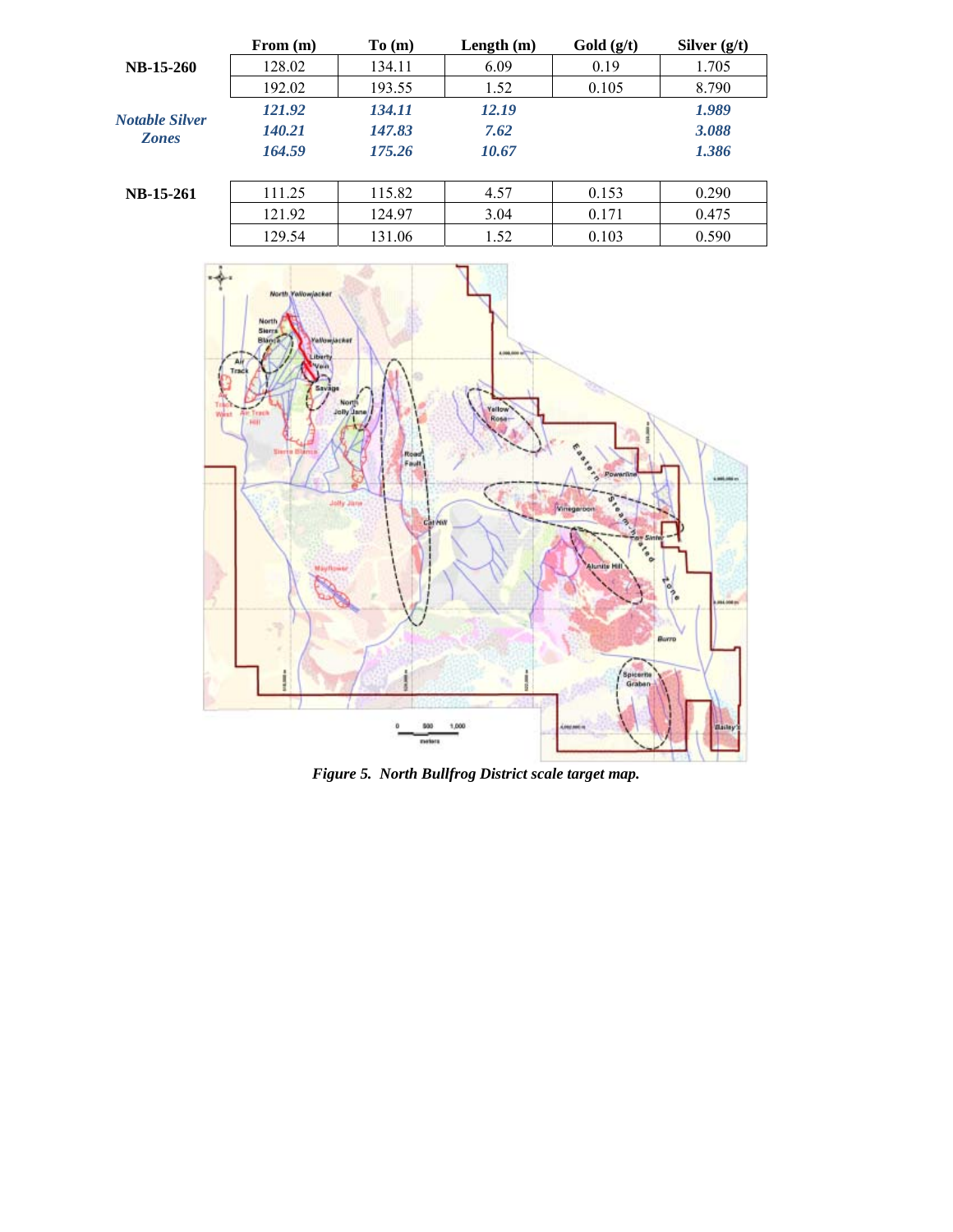| 128.02<br>6.09<br><b>NB-15-260</b><br>0.19<br>1.705<br>134.11  |  |
|----------------------------------------------------------------|--|
|                                                                |  |
| 192.02<br>0.105<br>8.790<br>193.55<br>1.52                     |  |
| 121.92<br>12.19<br>1.989<br>134.11<br><b>Notable Silver</b>    |  |
| 140.21<br>3.088<br>147.83<br>7.62<br><b>Zones</b>              |  |
| 164.59<br>1.386<br>175.26<br>10.67                             |  |
| 115.82<br>0.153<br>0.290<br>111.25<br>4.57<br><b>NB-15-261</b> |  |
| 121.92<br>3.04<br>0.475<br>124.97<br>0.171                     |  |
| 129.54<br>0.590<br>131.06<br>0.103<br>1.52                     |  |



*Figure 5. North Bullfrog District scale target map.*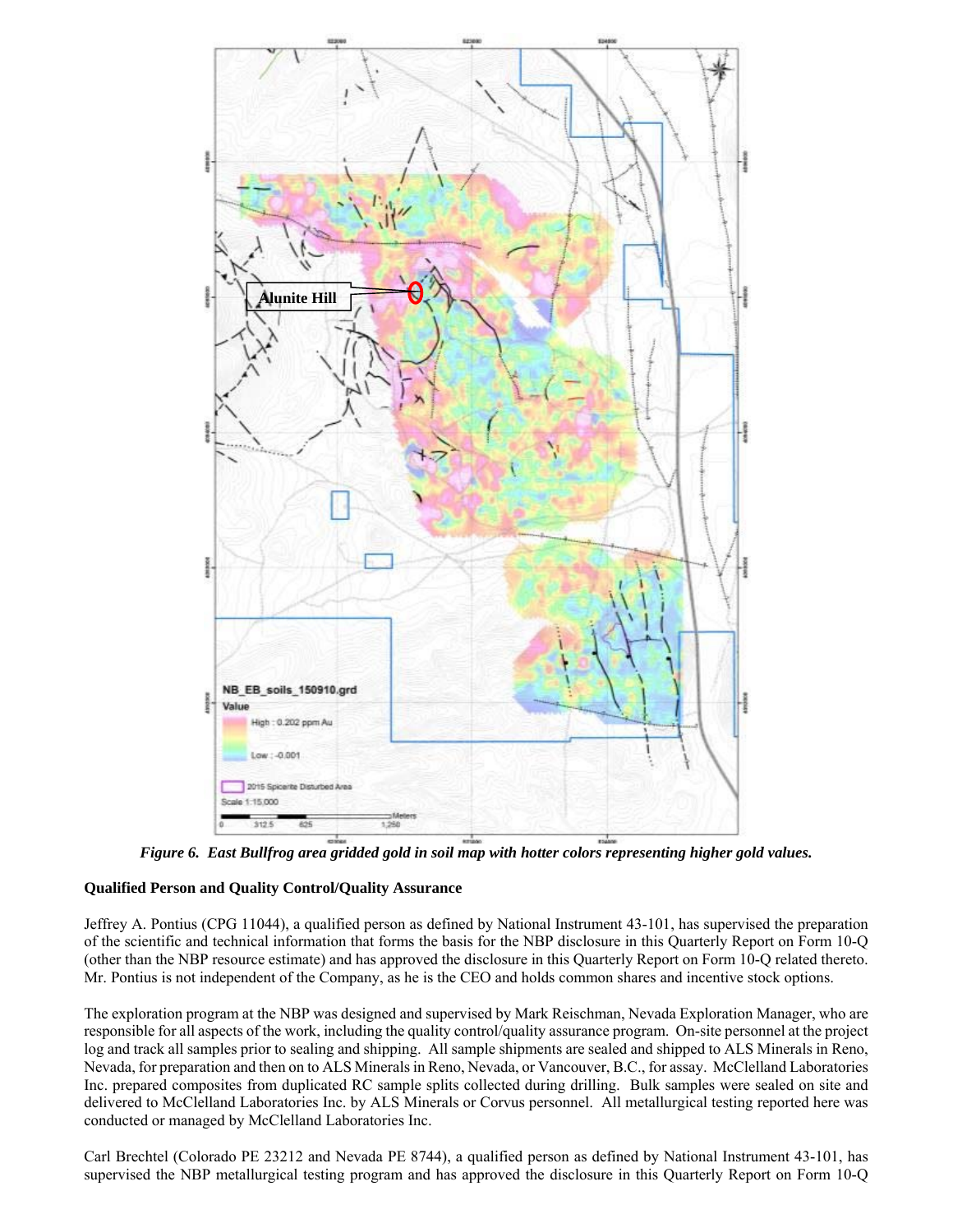

*Figure 6. East Bullfrog area gridded gold in soil map with hotter colors representing higher gold values.* 

## **Qualified Person and Quality Control/Quality Assurance**

Jeffrey A. Pontius (CPG 11044), a qualified person as defined by National Instrument 43-101, has supervised the preparation of the scientific and technical information that forms the basis for the NBP disclosure in this Quarterly Report on Form 10-Q (other than the NBP resource estimate) and has approved the disclosure in this Quarterly Report on Form 10-Q related thereto. Mr. Pontius is not independent of the Company, as he is the CEO and holds common shares and incentive stock options.

The exploration program at the NBP was designed and supervised by Mark Reischman, Nevada Exploration Manager, who are responsible for all aspects of the work, including the quality control/quality assurance program. On-site personnel at the project log and track all samples prior to sealing and shipping. All sample shipments are sealed and shipped to ALS Minerals in Reno, Nevada, for preparation and then on to ALS Minerals in Reno, Nevada, or Vancouver, B.C., for assay. McClelland Laboratories Inc. prepared composites from duplicated RC sample splits collected during drilling. Bulk samples were sealed on site and delivered to McClelland Laboratories Inc. by ALS Minerals or Corvus personnel. All metallurgical testing reported here was conducted or managed by McClelland Laboratories Inc.

Carl Brechtel (Colorado PE 23212 and Nevada PE 8744), a qualified person as defined by National Instrument 43-101, has supervised the NBP metallurgical testing program and has approved the disclosure in this Quarterly Report on Form 10-Q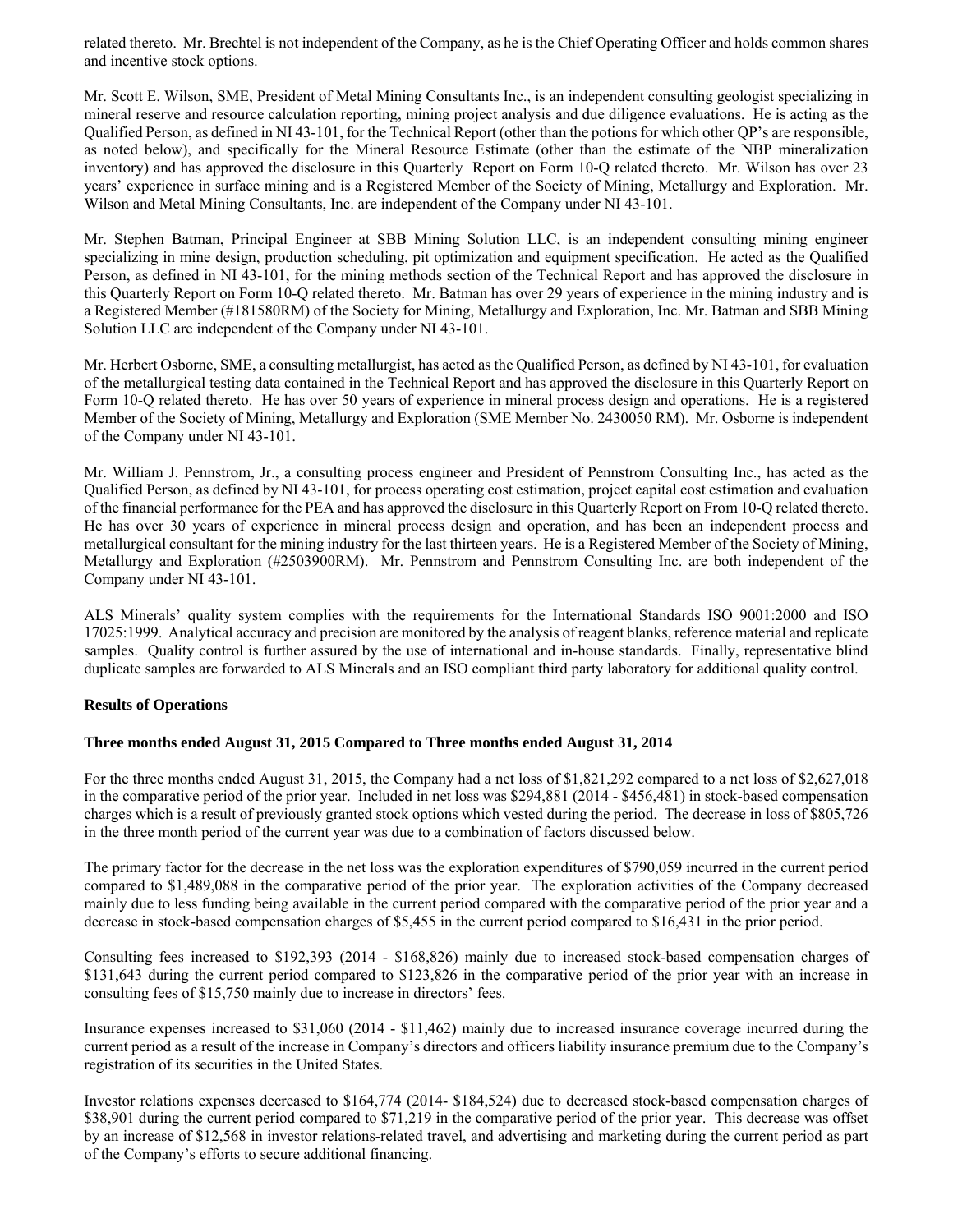related thereto. Mr. Brechtel is not independent of the Company, as he is the Chief Operating Officer and holds common shares and incentive stock options.

Mr. Scott E. Wilson, SME, President of Metal Mining Consultants Inc., is an independent consulting geologist specializing in mineral reserve and resource calculation reporting, mining project analysis and due diligence evaluations. He is acting as the Qualified Person, as defined in NI 43-101, for the Technical Report (other than the potions for which other QP's are responsible, as noted below), and specifically for the Mineral Resource Estimate (other than the estimate of the NBP mineralization inventory) and has approved the disclosure in this Quarterly Report on Form 10-Q related thereto. Mr. Wilson has over 23 years' experience in surface mining and is a Registered Member of the Society of Mining, Metallurgy and Exploration. Mr. Wilson and Metal Mining Consultants, Inc. are independent of the Company under NI 43-101.

Mr. Stephen Batman, Principal Engineer at SBB Mining Solution LLC, is an independent consulting mining engineer specializing in mine design, production scheduling, pit optimization and equipment specification. He acted as the Qualified Person, as defined in NI 43-101, for the mining methods section of the Technical Report and has approved the disclosure in this Quarterly Report on Form 10-Q related thereto. Mr. Batman has over 29 years of experience in the mining industry and is a Registered Member (#181580RM) of the Society for Mining, Metallurgy and Exploration, Inc. Mr. Batman and SBB Mining Solution LLC are independent of the Company under NI 43-101.

Mr. Herbert Osborne, SME, a consulting metallurgist, has acted as the Qualified Person, as defined by NI 43-101, for evaluation of the metallurgical testing data contained in the Technical Report and has approved the disclosure in this Quarterly Report on Form 10-Q related thereto. He has over 50 years of experience in mineral process design and operations. He is a registered Member of the Society of Mining, Metallurgy and Exploration (SME Member No. 2430050 RM). Mr. Osborne is independent of the Company under NI 43-101.

Mr. William J. Pennstrom, Jr., a consulting process engineer and President of Pennstrom Consulting Inc., has acted as the Qualified Person, as defined by NI 43-101, for process operating cost estimation, project capital cost estimation and evaluation of the financial performance for the PEA and has approved the disclosure in this Quarterly Report on From 10-Q related thereto. He has over 30 years of experience in mineral process design and operation, and has been an independent process and metallurgical consultant for the mining industry for the last thirteen years. He is a Registered Member of the Society of Mining, Metallurgy and Exploration (#2503900RM). Mr. Pennstrom and Pennstrom Consulting Inc. are both independent of the Company under NI 43-101.

ALS Minerals' quality system complies with the requirements for the International Standards ISO 9001:2000 and ISO 17025:1999. Analytical accuracy and precision are monitored by the analysis of reagent blanks, reference material and replicate samples. Quality control is further assured by the use of international and in-house standards. Finally, representative blind duplicate samples are forwarded to ALS Minerals and an ISO compliant third party laboratory for additional quality control.

## **Results of Operations**

## **Three months ended August 31, 2015 Compared to Three months ended August 31, 2014**

For the three months ended August 31, 2015, the Company had a net loss of \$1,821,292 compared to a net loss of \$2,627,018 in the comparative period of the prior year. Included in net loss was \$294,881 (2014 - \$456,481) in stock-based compensation charges which is a result of previously granted stock options which vested during the period. The decrease in loss of \$805,726 in the three month period of the current year was due to a combination of factors discussed below.

The primary factor for the decrease in the net loss was the exploration expenditures of \$790,059 incurred in the current period compared to \$1,489,088 in the comparative period of the prior year. The exploration activities of the Company decreased mainly due to less funding being available in the current period compared with the comparative period of the prior year and a decrease in stock-based compensation charges of \$5,455 in the current period compared to \$16,431 in the prior period.

Consulting fees increased to \$192,393 (2014 - \$168,826) mainly due to increased stock-based compensation charges of \$131,643 during the current period compared to \$123,826 in the comparative period of the prior year with an increase in consulting fees of \$15,750 mainly due to increase in directors' fees.

Insurance expenses increased to \$31,060 (2014 - \$11,462) mainly due to increased insurance coverage incurred during the current period as a result of the increase in Company's directors and officers liability insurance premium due to the Company's registration of its securities in the United States.

Investor relations expenses decreased to \$164,774 (2014- \$184,524) due to decreased stock-based compensation charges of \$38,901 during the current period compared to \$71,219 in the comparative period of the prior year. This decrease was offset by an increase of \$12,568 in investor relations-related travel, and advertising and marketing during the current period as part of the Company's efforts to secure additional financing.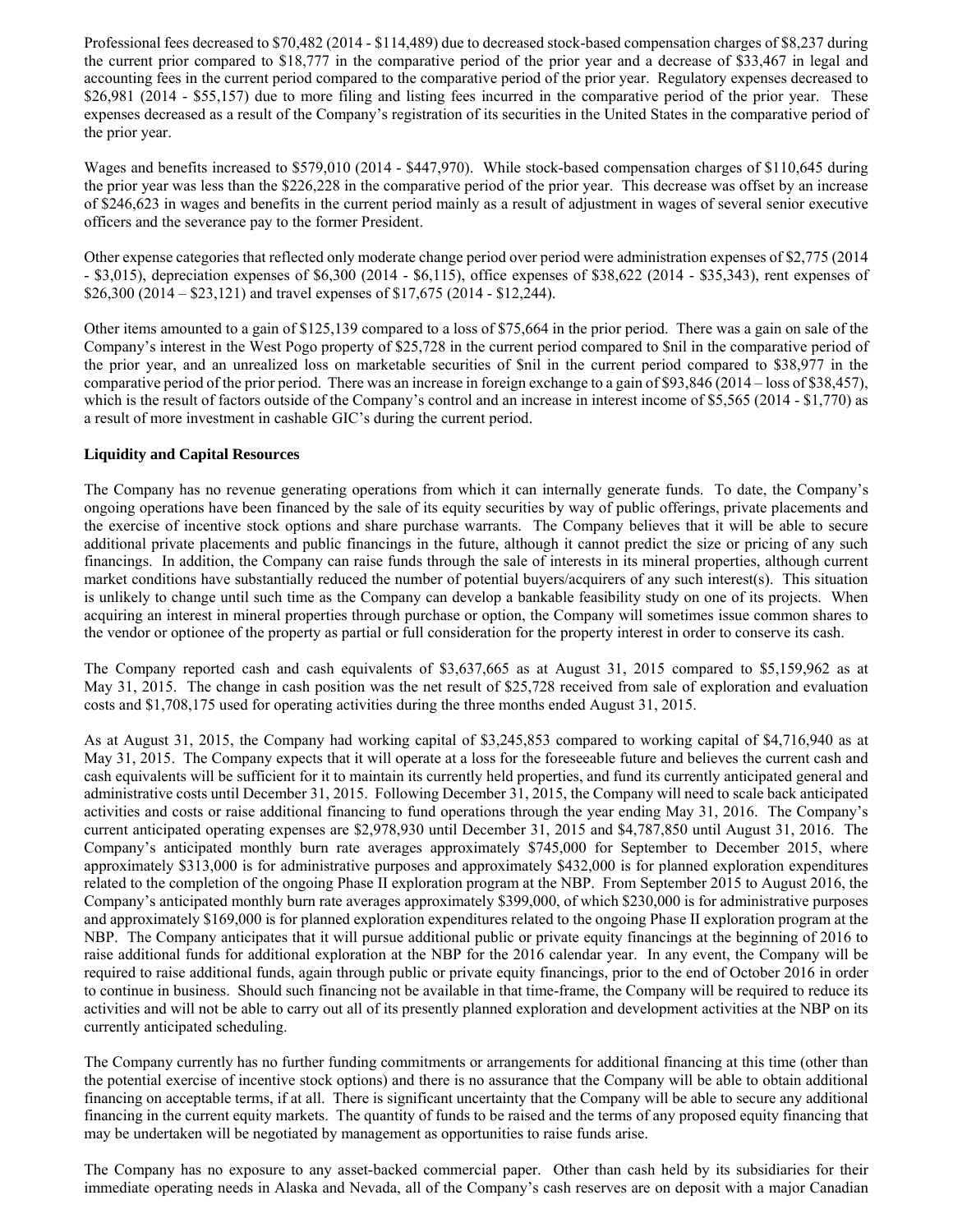Professional fees decreased to \$70,482 (2014 - \$114,489) due to decreased stock-based compensation charges of \$8,237 during the current prior compared to \$18,777 in the comparative period of the prior year and a decrease of \$33,467 in legal and accounting fees in the current period compared to the comparative period of the prior year. Regulatory expenses decreased to \$26,981 (2014 - \$55,157) due to more filing and listing fees incurred in the comparative period of the prior year. These expenses decreased as a result of the Company's registration of its securities in the United States in the comparative period of the prior year.

Wages and benefits increased to \$579,010 (2014 - \$447,970). While stock-based compensation charges of \$110,645 during the prior year was less than the \$226,228 in the comparative period of the prior year. This decrease was offset by an increase of \$246,623 in wages and benefits in the current period mainly as a result of adjustment in wages of several senior executive officers and the severance pay to the former President.

Other expense categories that reflected only moderate change period over period were administration expenses of \$2,775 (2014 - \$3,015), depreciation expenses of \$6,300 (2014 - \$6,115), office expenses of \$38,622 (2014 - \$35,343), rent expenses of \$26,300 (2014 – \$23,121) and travel expenses of \$17,675 (2014 - \$12,244).

Other items amounted to a gain of \$125,139 compared to a loss of \$75,664 in the prior period. There was a gain on sale of the Company's interest in the West Pogo property of \$25,728 in the current period compared to \$nil in the comparative period of the prior year, and an unrealized loss on marketable securities of \$nil in the current period compared to \$38,977 in the comparative period of the prior period. There was an increase in foreign exchange to a gain of \$93,846 (2014 – loss of \$38,457), which is the result of factors outside of the Company's control and an increase in interest income of \$5,565 (2014 - \$1,770) as a result of more investment in cashable GIC's during the current period.

## **Liquidity and Capital Resources**

The Company has no revenue generating operations from which it can internally generate funds. To date, the Company's ongoing operations have been financed by the sale of its equity securities by way of public offerings, private placements and the exercise of incentive stock options and share purchase warrants. The Company believes that it will be able to secure additional private placements and public financings in the future, although it cannot predict the size or pricing of any such financings. In addition, the Company can raise funds through the sale of interests in its mineral properties, although current market conditions have substantially reduced the number of potential buyers/acquirers of any such interest(s). This situation is unlikely to change until such time as the Company can develop a bankable feasibility study on one of its projects. When acquiring an interest in mineral properties through purchase or option, the Company will sometimes issue common shares to the vendor or optionee of the property as partial or full consideration for the property interest in order to conserve its cash.

The Company reported cash and cash equivalents of \$3,637,665 as at August 31, 2015 compared to \$5,159,962 as at May 31, 2015. The change in cash position was the net result of \$25,728 received from sale of exploration and evaluation costs and \$1,708,175 used for operating activities during the three months ended August 31, 2015.

As at August 31, 2015, the Company had working capital of \$3,245,853 compared to working capital of \$4,716,940 as at May 31, 2015. The Company expects that it will operate at a loss for the foreseeable future and believes the current cash and cash equivalents will be sufficient for it to maintain its currently held properties, and fund its currently anticipated general and administrative costs until December 31, 2015. Following December 31, 2015, the Company will need to scale back anticipated activities and costs or raise additional financing to fund operations through the year ending May 31, 2016. The Company's current anticipated operating expenses are \$2,978,930 until December 31, 2015 and \$4,787,850 until August 31, 2016. The Company's anticipated monthly burn rate averages approximately \$745,000 for September to December 2015, where approximately \$313,000 is for administrative purposes and approximately \$432,000 is for planned exploration expenditures related to the completion of the ongoing Phase II exploration program at the NBP. From September 2015 to August 2016, the Company's anticipated monthly burn rate averages approximately \$399,000, of which \$230,000 is for administrative purposes and approximately \$169,000 is for planned exploration expenditures related to the ongoing Phase II exploration program at the NBP. The Company anticipates that it will pursue additional public or private equity financings at the beginning of 2016 to raise additional funds for additional exploration at the NBP for the 2016 calendar year. In any event, the Company will be required to raise additional funds, again through public or private equity financings, prior to the end of October 2016 in order to continue in business. Should such financing not be available in that time-frame, the Company will be required to reduce its activities and will not be able to carry out all of its presently planned exploration and development activities at the NBP on its currently anticipated scheduling.

The Company currently has no further funding commitments or arrangements for additional financing at this time (other than the potential exercise of incentive stock options) and there is no assurance that the Company will be able to obtain additional financing on acceptable terms, if at all. There is significant uncertainty that the Company will be able to secure any additional financing in the current equity markets. The quantity of funds to be raised and the terms of any proposed equity financing that may be undertaken will be negotiated by management as opportunities to raise funds arise.

The Company has no exposure to any asset-backed commercial paper. Other than cash held by its subsidiaries for their immediate operating needs in Alaska and Nevada, all of the Company's cash reserves are on deposit with a major Canadian